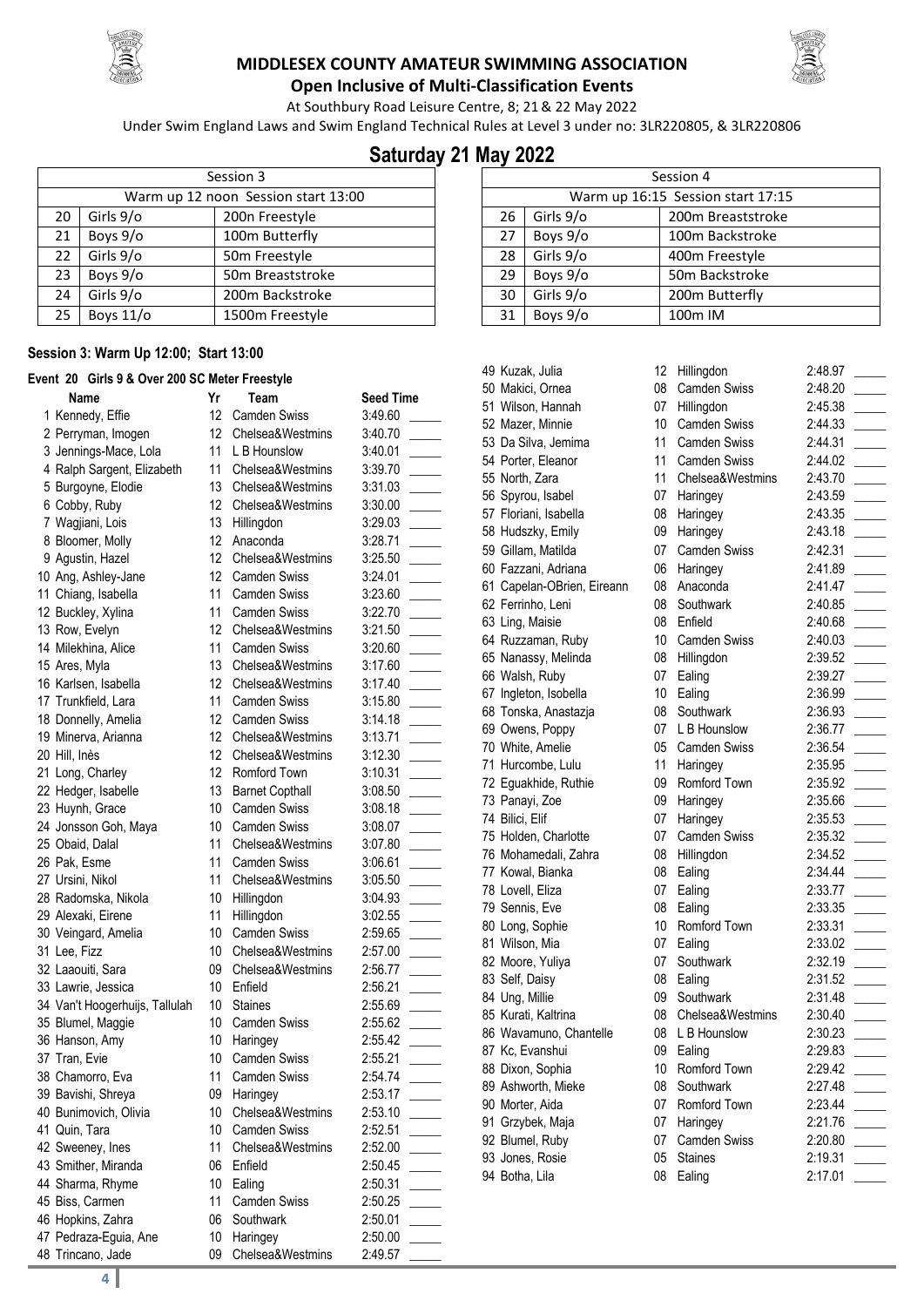



**Open Inclusive of Multi-Classification Events**

At Southbury Road Leisure Centre, 8; 21& 22 May 2022

Under Swim England Laws and Swim England Technical Rules at Level 3 under no: 3LR220805, & 3LR220806

## **Saturday 21 May 2022**

|    | Session 3 |                                     |  |  |  |
|----|-----------|-------------------------------------|--|--|--|
|    |           | Warm up 12 noon Session start 13:00 |  |  |  |
| 20 | Girls 9/o | 200n Freestyle                      |  |  |  |
| 21 | Boys 9/o  | 100m Butterfly                      |  |  |  |
| 22 | Girls 9/o | 50m Freestyle                       |  |  |  |
| 23 | Boys 9/o  | 50m Breaststroke                    |  |  |  |
| 24 | Girls 9/o | 200m Backstroke                     |  |  |  |
| 25 | Boys 11/o | 1500m Freestyle                     |  |  |  |

#### **Session 3: Warm Up 12:00; Start 13:00**

#### **Event 20 Girls 9 & Over 200 SC Meter Freestyle**

| 12<br>1 Kennedy, Effie<br><b>Camden Swiss</b><br>3:49.60<br>12<br>2 Perryman, Imogen<br>Chelsea&Westmins<br>3:40.70<br>11<br>3 Jennings-Mace, Lola<br>L B Hounslow<br>3:40.01<br>4 Ralph Sargent, Elizabeth<br>11<br>Chelsea&Westmins<br>3:39.70<br>13<br>Chelsea&Westmins<br>5 Burgoyne, Elodie<br>3:31.03<br>12<br>6 Cobby, Ruby<br>Chelsea&Westmins<br>3:30.00<br>13<br>7 Wagjiani, Lois<br>3:29.03<br>Hillingdon<br>12<br>Anaconda<br>8 Bloomer, Molly<br>3:28.71<br>9 Agustin, Hazel<br>12<br>Chelsea&Westmins<br>3:25.50<br>10 Ang, Ashley-Jane<br>12<br><b>Camden Swiss</b><br>3:24.01<br>11<br>11 Chiang, Isabella<br><b>Camden Swiss</b><br>3:23.60<br>12 Buckley, Xylina<br>11<br><b>Camden Swiss</b><br>3:22.70<br>13 Row, Evelyn<br>12<br>Chelsea&Westmins<br>3:21.50<br>14 Milekhina, Alice<br>11<br><b>Camden Swiss</b><br>3:20.60<br>13<br>Chelsea&Westmins<br>15 Ares, Myla<br>3:17.60<br>12<br>Chelsea&Westmins<br>16 Karlsen, Isabella<br>3:17.40<br>11<br>17 Trunkfield, Lara<br><b>Camden Swiss</b><br>3:15.80<br>12<br><b>Camden Swiss</b><br>18 Donnelly, Amelia<br>3:14.18<br>19 Minerva, Arianna<br>12<br>Chelsea&Westmins<br>3:13.71<br>12<br>20 Hill, Inès<br>Chelsea&Westmins<br>3:12.30<br>12<br>21 Long, Charley<br>Romford Town<br>3:10.31<br>22 Hedger, Isabelle<br>13<br><b>Barnet Copthall</b><br>3:08.50<br>10<br><b>Camden Swiss</b><br>23 Huynh, Grace<br>3:08.18<br>10<br>24 Jonsson Goh, Maya<br><b>Camden Swiss</b><br>3:08.07<br>11<br>25 Obaid, Dalal<br>Chelsea&Westmins<br>3:07.80<br>11<br>26 Pak, Esme<br><b>Camden Swiss</b><br>3:06.61<br>11<br>Chelsea&Westmins<br>27 Ursini, Nikol<br>3:05.50<br>10<br>28 Radomska, Nikola<br>Hillingdon<br>3:04.93<br>11<br>29 Alexaki, Eirene<br>Hillingdon<br>3:02.55<br>10<br>Camden Swiss<br>30 Veingard, Amelia<br>2:59.65<br>31 Lee, Fizz<br>10<br>Chelsea&Westmins<br>2:57.00<br>09<br>Chelsea&Westmins<br>32 Laaouiti, Sara<br>2:56.77<br>10<br>33 Lawrie, Jessica<br>Enfield<br>2:56.21<br>10<br>34 Van't Hoogerhuijs, Tallulah<br><b>Staines</b><br>2:55.69<br>10<br>35 Blumel, Maggie<br><b>Camden Swiss</b><br>2:55.62<br>36 Hanson, Amy<br>10<br>Haringey<br>2:55.42<br>37 Tran, Evie<br>10<br><b>Camden Swiss</b><br>2:55.21<br>11<br>2:54.74<br>38 Chamorro, Eva<br><b>Camden Swiss</b><br>39 Bavishi, Shreya<br>09<br>Haringey<br>2:53.17<br>10<br>40 Bunimovich, Olivia<br>Chelsea&Westmins<br>2:53.10<br>41 Quin, Tara<br>10<br>Camden Swiss<br>2:52.51<br>42 Sweeney, Ines<br>11<br>Chelsea&Westmins<br>2:52.00<br>43 Smither, Miranda<br>06<br>Enfield<br>2:50.45<br>10<br>44 Sharma, Rhyme<br>Ealing<br>2:50.31<br>45 Biss, Carmen<br>11<br><b>Camden Swiss</b><br>2:50.25<br>06<br>Southwark<br>46 Hopkins, Zahra<br>2:50.01<br>47 Pedraza-Eguia, Ane<br>10<br>Haringey<br>2:50.00<br>Chelsea&Westmins<br>48 Trincano, Jade<br>09<br>2:49.57 | Name | Yr | Team | <b>Seed Time</b> |
|------------------------------------------------------------------------------------------------------------------------------------------------------------------------------------------------------------------------------------------------------------------------------------------------------------------------------------------------------------------------------------------------------------------------------------------------------------------------------------------------------------------------------------------------------------------------------------------------------------------------------------------------------------------------------------------------------------------------------------------------------------------------------------------------------------------------------------------------------------------------------------------------------------------------------------------------------------------------------------------------------------------------------------------------------------------------------------------------------------------------------------------------------------------------------------------------------------------------------------------------------------------------------------------------------------------------------------------------------------------------------------------------------------------------------------------------------------------------------------------------------------------------------------------------------------------------------------------------------------------------------------------------------------------------------------------------------------------------------------------------------------------------------------------------------------------------------------------------------------------------------------------------------------------------------------------------------------------------------------------------------------------------------------------------------------------------------------------------------------------------------------------------------------------------------------------------------------------------------------------------------------------------------------------------------------------------------------------------------------------------------------------------------------------------------------------------------------------------------------------------------------------------------------------------------------------------------------------------------------------------------------------------------------------------------------------------------------------------------------------------------------------------------------------------------------------------------------------------------|------|----|------|------------------|
|                                                                                                                                                                                                                                                                                                                                                                                                                                                                                                                                                                                                                                                                                                                                                                                                                                                                                                                                                                                                                                                                                                                                                                                                                                                                                                                                                                                                                                                                                                                                                                                                                                                                                                                                                                                                                                                                                                                                                                                                                                                                                                                                                                                                                                                                                                                                                                                                                                                                                                                                                                                                                                                                                                                                                                                                                                                      |      |    |      |                  |
|                                                                                                                                                                                                                                                                                                                                                                                                                                                                                                                                                                                                                                                                                                                                                                                                                                                                                                                                                                                                                                                                                                                                                                                                                                                                                                                                                                                                                                                                                                                                                                                                                                                                                                                                                                                                                                                                                                                                                                                                                                                                                                                                                                                                                                                                                                                                                                                                                                                                                                                                                                                                                                                                                                                                                                                                                                                      |      |    |      |                  |
|                                                                                                                                                                                                                                                                                                                                                                                                                                                                                                                                                                                                                                                                                                                                                                                                                                                                                                                                                                                                                                                                                                                                                                                                                                                                                                                                                                                                                                                                                                                                                                                                                                                                                                                                                                                                                                                                                                                                                                                                                                                                                                                                                                                                                                                                                                                                                                                                                                                                                                                                                                                                                                                                                                                                                                                                                                                      |      |    |      |                  |
|                                                                                                                                                                                                                                                                                                                                                                                                                                                                                                                                                                                                                                                                                                                                                                                                                                                                                                                                                                                                                                                                                                                                                                                                                                                                                                                                                                                                                                                                                                                                                                                                                                                                                                                                                                                                                                                                                                                                                                                                                                                                                                                                                                                                                                                                                                                                                                                                                                                                                                                                                                                                                                                                                                                                                                                                                                                      |      |    |      |                  |
|                                                                                                                                                                                                                                                                                                                                                                                                                                                                                                                                                                                                                                                                                                                                                                                                                                                                                                                                                                                                                                                                                                                                                                                                                                                                                                                                                                                                                                                                                                                                                                                                                                                                                                                                                                                                                                                                                                                                                                                                                                                                                                                                                                                                                                                                                                                                                                                                                                                                                                                                                                                                                                                                                                                                                                                                                                                      |      |    |      |                  |
|                                                                                                                                                                                                                                                                                                                                                                                                                                                                                                                                                                                                                                                                                                                                                                                                                                                                                                                                                                                                                                                                                                                                                                                                                                                                                                                                                                                                                                                                                                                                                                                                                                                                                                                                                                                                                                                                                                                                                                                                                                                                                                                                                                                                                                                                                                                                                                                                                                                                                                                                                                                                                                                                                                                                                                                                                                                      |      |    |      |                  |
|                                                                                                                                                                                                                                                                                                                                                                                                                                                                                                                                                                                                                                                                                                                                                                                                                                                                                                                                                                                                                                                                                                                                                                                                                                                                                                                                                                                                                                                                                                                                                                                                                                                                                                                                                                                                                                                                                                                                                                                                                                                                                                                                                                                                                                                                                                                                                                                                                                                                                                                                                                                                                                                                                                                                                                                                                                                      |      |    |      |                  |
|                                                                                                                                                                                                                                                                                                                                                                                                                                                                                                                                                                                                                                                                                                                                                                                                                                                                                                                                                                                                                                                                                                                                                                                                                                                                                                                                                                                                                                                                                                                                                                                                                                                                                                                                                                                                                                                                                                                                                                                                                                                                                                                                                                                                                                                                                                                                                                                                                                                                                                                                                                                                                                                                                                                                                                                                                                                      |      |    |      |                  |
|                                                                                                                                                                                                                                                                                                                                                                                                                                                                                                                                                                                                                                                                                                                                                                                                                                                                                                                                                                                                                                                                                                                                                                                                                                                                                                                                                                                                                                                                                                                                                                                                                                                                                                                                                                                                                                                                                                                                                                                                                                                                                                                                                                                                                                                                                                                                                                                                                                                                                                                                                                                                                                                                                                                                                                                                                                                      |      |    |      |                  |
|                                                                                                                                                                                                                                                                                                                                                                                                                                                                                                                                                                                                                                                                                                                                                                                                                                                                                                                                                                                                                                                                                                                                                                                                                                                                                                                                                                                                                                                                                                                                                                                                                                                                                                                                                                                                                                                                                                                                                                                                                                                                                                                                                                                                                                                                                                                                                                                                                                                                                                                                                                                                                                                                                                                                                                                                                                                      |      |    |      |                  |
|                                                                                                                                                                                                                                                                                                                                                                                                                                                                                                                                                                                                                                                                                                                                                                                                                                                                                                                                                                                                                                                                                                                                                                                                                                                                                                                                                                                                                                                                                                                                                                                                                                                                                                                                                                                                                                                                                                                                                                                                                                                                                                                                                                                                                                                                                                                                                                                                                                                                                                                                                                                                                                                                                                                                                                                                                                                      |      |    |      |                  |
|                                                                                                                                                                                                                                                                                                                                                                                                                                                                                                                                                                                                                                                                                                                                                                                                                                                                                                                                                                                                                                                                                                                                                                                                                                                                                                                                                                                                                                                                                                                                                                                                                                                                                                                                                                                                                                                                                                                                                                                                                                                                                                                                                                                                                                                                                                                                                                                                                                                                                                                                                                                                                                                                                                                                                                                                                                                      |      |    |      |                  |
|                                                                                                                                                                                                                                                                                                                                                                                                                                                                                                                                                                                                                                                                                                                                                                                                                                                                                                                                                                                                                                                                                                                                                                                                                                                                                                                                                                                                                                                                                                                                                                                                                                                                                                                                                                                                                                                                                                                                                                                                                                                                                                                                                                                                                                                                                                                                                                                                                                                                                                                                                                                                                                                                                                                                                                                                                                                      |      |    |      |                  |
|                                                                                                                                                                                                                                                                                                                                                                                                                                                                                                                                                                                                                                                                                                                                                                                                                                                                                                                                                                                                                                                                                                                                                                                                                                                                                                                                                                                                                                                                                                                                                                                                                                                                                                                                                                                                                                                                                                                                                                                                                                                                                                                                                                                                                                                                                                                                                                                                                                                                                                                                                                                                                                                                                                                                                                                                                                                      |      |    |      |                  |
|                                                                                                                                                                                                                                                                                                                                                                                                                                                                                                                                                                                                                                                                                                                                                                                                                                                                                                                                                                                                                                                                                                                                                                                                                                                                                                                                                                                                                                                                                                                                                                                                                                                                                                                                                                                                                                                                                                                                                                                                                                                                                                                                                                                                                                                                                                                                                                                                                                                                                                                                                                                                                                                                                                                                                                                                                                                      |      |    |      |                  |
|                                                                                                                                                                                                                                                                                                                                                                                                                                                                                                                                                                                                                                                                                                                                                                                                                                                                                                                                                                                                                                                                                                                                                                                                                                                                                                                                                                                                                                                                                                                                                                                                                                                                                                                                                                                                                                                                                                                                                                                                                                                                                                                                                                                                                                                                                                                                                                                                                                                                                                                                                                                                                                                                                                                                                                                                                                                      |      |    |      |                  |
|                                                                                                                                                                                                                                                                                                                                                                                                                                                                                                                                                                                                                                                                                                                                                                                                                                                                                                                                                                                                                                                                                                                                                                                                                                                                                                                                                                                                                                                                                                                                                                                                                                                                                                                                                                                                                                                                                                                                                                                                                                                                                                                                                                                                                                                                                                                                                                                                                                                                                                                                                                                                                                                                                                                                                                                                                                                      |      |    |      |                  |
|                                                                                                                                                                                                                                                                                                                                                                                                                                                                                                                                                                                                                                                                                                                                                                                                                                                                                                                                                                                                                                                                                                                                                                                                                                                                                                                                                                                                                                                                                                                                                                                                                                                                                                                                                                                                                                                                                                                                                                                                                                                                                                                                                                                                                                                                                                                                                                                                                                                                                                                                                                                                                                                                                                                                                                                                                                                      |      |    |      |                  |
|                                                                                                                                                                                                                                                                                                                                                                                                                                                                                                                                                                                                                                                                                                                                                                                                                                                                                                                                                                                                                                                                                                                                                                                                                                                                                                                                                                                                                                                                                                                                                                                                                                                                                                                                                                                                                                                                                                                                                                                                                                                                                                                                                                                                                                                                                                                                                                                                                                                                                                                                                                                                                                                                                                                                                                                                                                                      |      |    |      |                  |
|                                                                                                                                                                                                                                                                                                                                                                                                                                                                                                                                                                                                                                                                                                                                                                                                                                                                                                                                                                                                                                                                                                                                                                                                                                                                                                                                                                                                                                                                                                                                                                                                                                                                                                                                                                                                                                                                                                                                                                                                                                                                                                                                                                                                                                                                                                                                                                                                                                                                                                                                                                                                                                                                                                                                                                                                                                                      |      |    |      |                  |
|                                                                                                                                                                                                                                                                                                                                                                                                                                                                                                                                                                                                                                                                                                                                                                                                                                                                                                                                                                                                                                                                                                                                                                                                                                                                                                                                                                                                                                                                                                                                                                                                                                                                                                                                                                                                                                                                                                                                                                                                                                                                                                                                                                                                                                                                                                                                                                                                                                                                                                                                                                                                                                                                                                                                                                                                                                                      |      |    |      |                  |
|                                                                                                                                                                                                                                                                                                                                                                                                                                                                                                                                                                                                                                                                                                                                                                                                                                                                                                                                                                                                                                                                                                                                                                                                                                                                                                                                                                                                                                                                                                                                                                                                                                                                                                                                                                                                                                                                                                                                                                                                                                                                                                                                                                                                                                                                                                                                                                                                                                                                                                                                                                                                                                                                                                                                                                                                                                                      |      |    |      |                  |
|                                                                                                                                                                                                                                                                                                                                                                                                                                                                                                                                                                                                                                                                                                                                                                                                                                                                                                                                                                                                                                                                                                                                                                                                                                                                                                                                                                                                                                                                                                                                                                                                                                                                                                                                                                                                                                                                                                                                                                                                                                                                                                                                                                                                                                                                                                                                                                                                                                                                                                                                                                                                                                                                                                                                                                                                                                                      |      |    |      |                  |
|                                                                                                                                                                                                                                                                                                                                                                                                                                                                                                                                                                                                                                                                                                                                                                                                                                                                                                                                                                                                                                                                                                                                                                                                                                                                                                                                                                                                                                                                                                                                                                                                                                                                                                                                                                                                                                                                                                                                                                                                                                                                                                                                                                                                                                                                                                                                                                                                                                                                                                                                                                                                                                                                                                                                                                                                                                                      |      |    |      |                  |
|                                                                                                                                                                                                                                                                                                                                                                                                                                                                                                                                                                                                                                                                                                                                                                                                                                                                                                                                                                                                                                                                                                                                                                                                                                                                                                                                                                                                                                                                                                                                                                                                                                                                                                                                                                                                                                                                                                                                                                                                                                                                                                                                                                                                                                                                                                                                                                                                                                                                                                                                                                                                                                                                                                                                                                                                                                                      |      |    |      |                  |
|                                                                                                                                                                                                                                                                                                                                                                                                                                                                                                                                                                                                                                                                                                                                                                                                                                                                                                                                                                                                                                                                                                                                                                                                                                                                                                                                                                                                                                                                                                                                                                                                                                                                                                                                                                                                                                                                                                                                                                                                                                                                                                                                                                                                                                                                                                                                                                                                                                                                                                                                                                                                                                                                                                                                                                                                                                                      |      |    |      |                  |
|                                                                                                                                                                                                                                                                                                                                                                                                                                                                                                                                                                                                                                                                                                                                                                                                                                                                                                                                                                                                                                                                                                                                                                                                                                                                                                                                                                                                                                                                                                                                                                                                                                                                                                                                                                                                                                                                                                                                                                                                                                                                                                                                                                                                                                                                                                                                                                                                                                                                                                                                                                                                                                                                                                                                                                                                                                                      |      |    |      |                  |
|                                                                                                                                                                                                                                                                                                                                                                                                                                                                                                                                                                                                                                                                                                                                                                                                                                                                                                                                                                                                                                                                                                                                                                                                                                                                                                                                                                                                                                                                                                                                                                                                                                                                                                                                                                                                                                                                                                                                                                                                                                                                                                                                                                                                                                                                                                                                                                                                                                                                                                                                                                                                                                                                                                                                                                                                                                                      |      |    |      |                  |
|                                                                                                                                                                                                                                                                                                                                                                                                                                                                                                                                                                                                                                                                                                                                                                                                                                                                                                                                                                                                                                                                                                                                                                                                                                                                                                                                                                                                                                                                                                                                                                                                                                                                                                                                                                                                                                                                                                                                                                                                                                                                                                                                                                                                                                                                                                                                                                                                                                                                                                                                                                                                                                                                                                                                                                                                                                                      |      |    |      |                  |
|                                                                                                                                                                                                                                                                                                                                                                                                                                                                                                                                                                                                                                                                                                                                                                                                                                                                                                                                                                                                                                                                                                                                                                                                                                                                                                                                                                                                                                                                                                                                                                                                                                                                                                                                                                                                                                                                                                                                                                                                                                                                                                                                                                                                                                                                                                                                                                                                                                                                                                                                                                                                                                                                                                                                                                                                                                                      |      |    |      |                  |
|                                                                                                                                                                                                                                                                                                                                                                                                                                                                                                                                                                                                                                                                                                                                                                                                                                                                                                                                                                                                                                                                                                                                                                                                                                                                                                                                                                                                                                                                                                                                                                                                                                                                                                                                                                                                                                                                                                                                                                                                                                                                                                                                                                                                                                                                                                                                                                                                                                                                                                                                                                                                                                                                                                                                                                                                                                                      |      |    |      |                  |
|                                                                                                                                                                                                                                                                                                                                                                                                                                                                                                                                                                                                                                                                                                                                                                                                                                                                                                                                                                                                                                                                                                                                                                                                                                                                                                                                                                                                                                                                                                                                                                                                                                                                                                                                                                                                                                                                                                                                                                                                                                                                                                                                                                                                                                                                                                                                                                                                                                                                                                                                                                                                                                                                                                                                                                                                                                                      |      |    |      |                  |
|                                                                                                                                                                                                                                                                                                                                                                                                                                                                                                                                                                                                                                                                                                                                                                                                                                                                                                                                                                                                                                                                                                                                                                                                                                                                                                                                                                                                                                                                                                                                                                                                                                                                                                                                                                                                                                                                                                                                                                                                                                                                                                                                                                                                                                                                                                                                                                                                                                                                                                                                                                                                                                                                                                                                                                                                                                                      |      |    |      |                  |
|                                                                                                                                                                                                                                                                                                                                                                                                                                                                                                                                                                                                                                                                                                                                                                                                                                                                                                                                                                                                                                                                                                                                                                                                                                                                                                                                                                                                                                                                                                                                                                                                                                                                                                                                                                                                                                                                                                                                                                                                                                                                                                                                                                                                                                                                                                                                                                                                                                                                                                                                                                                                                                                                                                                                                                                                                                                      |      |    |      |                  |
|                                                                                                                                                                                                                                                                                                                                                                                                                                                                                                                                                                                                                                                                                                                                                                                                                                                                                                                                                                                                                                                                                                                                                                                                                                                                                                                                                                                                                                                                                                                                                                                                                                                                                                                                                                                                                                                                                                                                                                                                                                                                                                                                                                                                                                                                                                                                                                                                                                                                                                                                                                                                                                                                                                                                                                                                                                                      |      |    |      |                  |
|                                                                                                                                                                                                                                                                                                                                                                                                                                                                                                                                                                                                                                                                                                                                                                                                                                                                                                                                                                                                                                                                                                                                                                                                                                                                                                                                                                                                                                                                                                                                                                                                                                                                                                                                                                                                                                                                                                                                                                                                                                                                                                                                                                                                                                                                                                                                                                                                                                                                                                                                                                                                                                                                                                                                                                                                                                                      |      |    |      |                  |
|                                                                                                                                                                                                                                                                                                                                                                                                                                                                                                                                                                                                                                                                                                                                                                                                                                                                                                                                                                                                                                                                                                                                                                                                                                                                                                                                                                                                                                                                                                                                                                                                                                                                                                                                                                                                                                                                                                                                                                                                                                                                                                                                                                                                                                                                                                                                                                                                                                                                                                                                                                                                                                                                                                                                                                                                                                                      |      |    |      |                  |
|                                                                                                                                                                                                                                                                                                                                                                                                                                                                                                                                                                                                                                                                                                                                                                                                                                                                                                                                                                                                                                                                                                                                                                                                                                                                                                                                                                                                                                                                                                                                                                                                                                                                                                                                                                                                                                                                                                                                                                                                                                                                                                                                                                                                                                                                                                                                                                                                                                                                                                                                                                                                                                                                                                                                                                                                                                                      |      |    |      |                  |
|                                                                                                                                                                                                                                                                                                                                                                                                                                                                                                                                                                                                                                                                                                                                                                                                                                                                                                                                                                                                                                                                                                                                                                                                                                                                                                                                                                                                                                                                                                                                                                                                                                                                                                                                                                                                                                                                                                                                                                                                                                                                                                                                                                                                                                                                                                                                                                                                                                                                                                                                                                                                                                                                                                                                                                                                                                                      |      |    |      |                  |
|                                                                                                                                                                                                                                                                                                                                                                                                                                                                                                                                                                                                                                                                                                                                                                                                                                                                                                                                                                                                                                                                                                                                                                                                                                                                                                                                                                                                                                                                                                                                                                                                                                                                                                                                                                                                                                                                                                                                                                                                                                                                                                                                                                                                                                                                                                                                                                                                                                                                                                                                                                                                                                                                                                                                                                                                                                                      |      |    |      |                  |
|                                                                                                                                                                                                                                                                                                                                                                                                                                                                                                                                                                                                                                                                                                                                                                                                                                                                                                                                                                                                                                                                                                                                                                                                                                                                                                                                                                                                                                                                                                                                                                                                                                                                                                                                                                                                                                                                                                                                                                                                                                                                                                                                                                                                                                                                                                                                                                                                                                                                                                                                                                                                                                                                                                                                                                                                                                                      |      |    |      |                  |
|                                                                                                                                                                                                                                                                                                                                                                                                                                                                                                                                                                                                                                                                                                                                                                                                                                                                                                                                                                                                                                                                                                                                                                                                                                                                                                                                                                                                                                                                                                                                                                                                                                                                                                                                                                                                                                                                                                                                                                                                                                                                                                                                                                                                                                                                                                                                                                                                                                                                                                                                                                                                                                                                                                                                                                                                                                                      |      |    |      |                  |
|                                                                                                                                                                                                                                                                                                                                                                                                                                                                                                                                                                                                                                                                                                                                                                                                                                                                                                                                                                                                                                                                                                                                                                                                                                                                                                                                                                                                                                                                                                                                                                                                                                                                                                                                                                                                                                                                                                                                                                                                                                                                                                                                                                                                                                                                                                                                                                                                                                                                                                                                                                                                                                                                                                                                                                                                                                                      |      |    |      |                  |
|                                                                                                                                                                                                                                                                                                                                                                                                                                                                                                                                                                                                                                                                                                                                                                                                                                                                                                                                                                                                                                                                                                                                                                                                                                                                                                                                                                                                                                                                                                                                                                                                                                                                                                                                                                                                                                                                                                                                                                                                                                                                                                                                                                                                                                                                                                                                                                                                                                                                                                                                                                                                                                                                                                                                                                                                                                                      |      |    |      |                  |
|                                                                                                                                                                                                                                                                                                                                                                                                                                                                                                                                                                                                                                                                                                                                                                                                                                                                                                                                                                                                                                                                                                                                                                                                                                                                                                                                                                                                                                                                                                                                                                                                                                                                                                                                                                                                                                                                                                                                                                                                                                                                                                                                                                                                                                                                                                                                                                                                                                                                                                                                                                                                                                                                                                                                                                                                                                                      |      |    |      |                  |
|                                                                                                                                                                                                                                                                                                                                                                                                                                                                                                                                                                                                                                                                                                                                                                                                                                                                                                                                                                                                                                                                                                                                                                                                                                                                                                                                                                                                                                                                                                                                                                                                                                                                                                                                                                                                                                                                                                                                                                                                                                                                                                                                                                                                                                                                                                                                                                                                                                                                                                                                                                                                                                                                                                                                                                                                                                                      |      |    |      |                  |
|                                                                                                                                                                                                                                                                                                                                                                                                                                                                                                                                                                                                                                                                                                                                                                                                                                                                                                                                                                                                                                                                                                                                                                                                                                                                                                                                                                                                                                                                                                                                                                                                                                                                                                                                                                                                                                                                                                                                                                                                                                                                                                                                                                                                                                                                                                                                                                                                                                                                                                                                                                                                                                                                                                                                                                                                                                                      |      |    |      |                  |
|                                                                                                                                                                                                                                                                                                                                                                                                                                                                                                                                                                                                                                                                                                                                                                                                                                                                                                                                                                                                                                                                                                                                                                                                                                                                                                                                                                                                                                                                                                                                                                                                                                                                                                                                                                                                                                                                                                                                                                                                                                                                                                                                                                                                                                                                                                                                                                                                                                                                                                                                                                                                                                                                                                                                                                                                                                                      |      |    |      |                  |

| Session 4 |           |                                   |  |  |
|-----------|-----------|-----------------------------------|--|--|
|           |           | Warm up 16:15 Session start 17:15 |  |  |
| 26        | Girls 9/o | 200m Breaststroke                 |  |  |
| 27        | Boys 9/o  | 100m Backstroke                   |  |  |
| 28        | Girls 9/o | 400m Freestyle                    |  |  |
| 29        | Boys 9/o  | 50m Backstroke                    |  |  |
| 30        | Girls 9/o | 200m Butterfly                    |  |  |
| 31        | Boys 9/o  | 100 <sub>m</sub> IM               |  |  |

|    | 50 Makici, Ornea           |
|----|----------------------------|
|    | 51 Wilson, Hannah          |
|    | 52 Mazer, Minnie           |
|    | 53 Da Silva, Jemima        |
|    | 54 Porter, Eleanor         |
|    | 55 North, Zara             |
|    | 56 Spyrou, Isabel          |
|    | 57 Floriani, Isabella      |
|    | 58 Hudszky, Emily          |
|    | 59 Gillam, Matilda         |
|    | 60 Fazzani, Adriana        |
|    | 61 Capelan-OBrien, Eireann |
|    | 62 Ferrinho, Leni          |
|    | 63 Ling, Maisie            |
|    | 64 Ruzzaman, Ruby          |
|    | 65 Nanassy, Melinda        |
|    | 66 Walsh, Ruby             |
|    | 67 Ingleton, Isobella      |
|    | 68 Tonska, Anastazja       |
|    | 69 Owens, Poppy            |
|    | 70 White, Amelie           |
|    | 71 Hurcombe, Lulu          |
|    | 72 Eguakhide, Ruthie       |
|    | 73 Panayi, Zoe             |
|    | 74 Bilici, Elif            |
|    | 75 Holden, Charlotte       |
|    | 76 Mohamedali, Zahra       |
|    | 77 Kowal, Bianka           |
|    | 78 Lovell, Eliza           |
|    | 79 Sennis, Eve             |
|    | 80 Long, Sophie            |
|    | 81 Wilson, Mia             |
|    | 82 Moore, Yuliya           |
|    | 83 Self, Daisy             |
|    | 84 Ung, Millie             |
|    | 85 Kurati, Kaltrina        |
|    | 86 Wavamuno, Chantelle     |
|    | 87 Kc, Evanshui            |
| 88 | Dixon, Sophia              |
|    | 89 Ashworth, Mieke         |
|    | 90 Morter, Aida            |
| 91 | Grzybek, Maja              |
|    | 92 Blumel, Ruby            |
|    | 93 Jones, Rosie            |
|    | 94 Botha, Lila             |
|    |                            |
|    |                            |

| 49 Kuzak, Julia            | 12 | Hillingdon          | 2:48.97 |  |
|----------------------------|----|---------------------|---------|--|
| 50 Makici, Ornea           | 08 | <b>Camden Swiss</b> | 2:48.20 |  |
| 51 Wilson, Hannah          | 07 | Hillingdon          | 2:45.38 |  |
| 52 Mazer, Minnie           | 10 | <b>Camden Swiss</b> | 2:44.33 |  |
| 53 Da Silva, Jemima        | 11 | Camden Swiss        | 2:44.31 |  |
| 54 Porter, Eleanor         | 11 | Camden Swiss        | 2:44.02 |  |
| 55 North, Zara             | 11 | Chelsea&Westmins    | 2:43.70 |  |
| 56 Spyrou, Isabel          | 07 | Haringey            | 2:43.59 |  |
| 57 Floriani, Isabella      | 08 | Haringey            | 2:43.35 |  |
| 58 Hudszky, Emily          | 09 | Haringey            | 2:43.18 |  |
| 59 Gillam, Matilda         | 07 | <b>Camden Swiss</b> | 2:42.31 |  |
| 60 Fazzani, Adriana        | 06 | Haringey            | 2:41.89 |  |
| 61 Capelan-OBrien, Eireann | 08 | Anaconda            | 2:41.47 |  |
| 62 Ferrinho, Leni          | 08 | Southwark           | 2:40.85 |  |
| 63 Ling, Maisie            | 08 | Enfield             | 2:40.68 |  |
| 64 Ruzzaman, Ruby          | 10 | <b>Camden Swiss</b> | 2:40.03 |  |
| 65 Nanassy, Melinda        | 08 | Hillingdon          | 2:39.52 |  |
| 66 Walsh, Ruby             | 07 | Ealing              | 2:39.27 |  |
| 67 Ingleton, Isobella      | 10 | Ealing              | 2:36.99 |  |
| 68 Tonska, Anastazja       | 08 | Southwark           | 2:36.93 |  |
| 69 Owens, Poppy            | 07 | L B Hounslow        | 2:36.77 |  |
| 70 White, Amelie           | 05 | <b>Camden Swiss</b> | 2:36.54 |  |
| 71 Hurcombe, Lulu          | 11 | Haringey            | 2:35.95 |  |
| 72 Eguakhide, Ruthie       | 09 | Romford Town        | 2:35.92 |  |
| 73 Panayi, Zoe             | 09 | Haringey            | 2:35.66 |  |
| 74 Bilici, Elif            | 07 | Haringey            | 2:35.53 |  |
| 75 Holden, Charlotte       | 07 | Camden Swiss        | 2:35.32 |  |
| 76 Mohamedali, Zahra       | 08 | Hillingdon          | 2:34.52 |  |
| 77 Kowal, Bianka           | 08 | Ealing              | 2:34.44 |  |
| 78 Lovell, Eliza           | 07 | Ealing              | 2:33.77 |  |
| 79 Sennis, Eve             | 08 | Ealing              | 2:33.35 |  |
| 80 Long, Sophie            | 10 | Romford Town        | 2:33.31 |  |
| 81 Wilson, Mia             | 07 | Ealing              | 2:33.02 |  |
| 82 Moore, Yuliya           | 07 | Southwark           | 2:32.19 |  |
| 83 Self, Daisy             | 08 | Ealing              | 2:31.52 |  |
| 84 Ung, Millie             | 09 | Southwark           | 2:31.48 |  |
| 85 Kurati, Kaltrina        | 08 | Chelsea&Westmins    | 2:30.40 |  |
| 86 Wavamuno, Chantelle     | 08 | L B Hounslow        | 2:30.23 |  |
| 87 Kc, Evanshui            | 09 | Ealing              | 2:29.83 |  |
| 88 Dixon, Sophia           | 10 | Romford Town        | 2:29.42 |  |
| 89 Ashworth, Mieke         | 08 | Southwark           | 2:27.48 |  |
| 90 Morter, Aida            | 07 | Romford Town        | 2:23.44 |  |
| 91 Grzybek, Maja           | 07 | Haringey            | 2:21.76 |  |
| 92 Blumel, Ruby            | 07 | Camden Swiss        | 2:20.80 |  |
| 93 Jones, Rosie            | 05 | <b>Staines</b>      | 2:19.31 |  |
| 94 Botha, Lila             | 08 | Ealing              | 2:17.01 |  |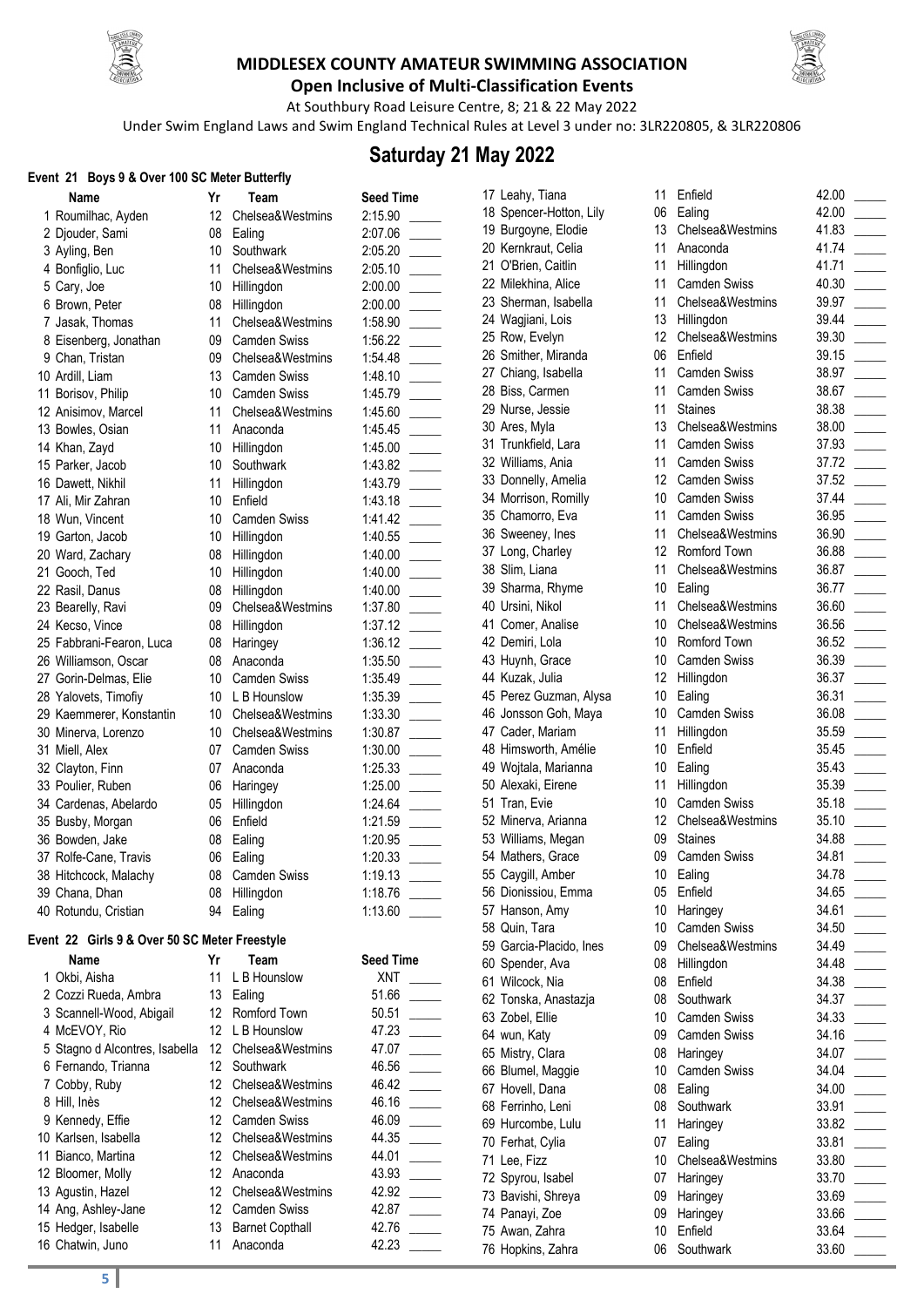



**Open Inclusive of Multi-Classification Events** At Southbury Road Leisure Centre, 8; 21& 22 May 2022

Under Swim England Laws and Swim England Technical Rules at Level 3 under no: 3LR220805, & 3LR220806

# **Saturday 21 May 2022**

### **Event 21 Boys 9 & Over 100 SC Meter Butterfly**

| $\mathsf{L}$ vent z i Doys J & Over Too JC Meter Dutterily |                 |                     |                  |
|------------------------------------------------------------|-----------------|---------------------|------------------|
| Name                                                       | Yr              | Team                | <b>Seed Time</b> |
| 1 Roumilhac, Ayden                                         | 12 <sup>°</sup> | Chelsea&Westmins    | 2:15.90          |
| 2 Djouder, Sami                                            | 08              | Ealing              | 2:07.06          |
| 3 Ayling, Ben                                              | 10              | Southwark           | 2:05.20          |
| 4 Bonfiglio, Luc                                           | 11              | Chelsea&Westmins    | 2:05.10          |
| 5 Cary, Joe                                                | 10              | Hillingdon          | 2:00.00          |
| 6 Brown, Peter                                             | 08              | Hillingdon          | 2:00.00          |
| 7 Jasak, Thomas                                            | 11              | Chelsea&Westmins    | 1:58.90          |
| 8 Eisenberg, Jonathan                                      | 09              | <b>Camden Swiss</b> | 1:56.22          |
| 9 Chan, Tristan                                            | 09              | Chelsea&Westmins    | 1:54.48          |
| 10 Ardill, Liam                                            | 13              | <b>Camden Swiss</b> | 1:48.10          |
| 11 Borisov, Philip                                         | 10              | <b>Camden Swiss</b> | 1:45.79          |
| 12 Anisimov, Marcel                                        | 11              | Chelsea&Westmins    | 1:45.60          |
| 13 Bowles, Osian                                           | 11              | Anaconda            | 1:45.45          |
| 14 Khan, Zayd                                              |                 | 10 Hillingdon       | 1:45.00          |
| 15 Parker, Jacob                                           | 10              | Southwark           | 1:43.82          |
| 16 Dawett, Nikhil                                          | 11              | Hillingdon          | 1:43.79          |
| 17 Ali, Mir Zahran                                         | 10              | Enfield             | 1:43.18          |
| 18 Wun, Vincent                                            | 10              | <b>Camden Swiss</b> | 1:41.42          |
| 19 Garton, Jacob                                           | 10              | Hillingdon          | 1:40.55          |
| 20 Ward, Zachary                                           | 08              | Hillingdon          | 1:40.00          |
| 21 Gooch, Ted                                              | 10              | Hillingdon          | 1:40.00          |
| 22 Rasil, Danus                                            | 08              | Hillingdon          | 1:40.00          |
| 23 Bearelly, Ravi                                          | 09              | Chelsea&Westmins    | 1:37.80          |
| 24 Kecso, Vince                                            | 08              | Hillingdon          | 1:37.12          |
| 25 Fabbrani-Fearon, Luca                                   | 08              | Haringey            | 1:36.12          |
| 26 Williamson, Oscar                                       | 08              | Anaconda            | 1:35.50          |
| 27 Gorin-Delmas, Elie                                      | 10              | <b>Camden Swiss</b> | 1:35.49          |
| 28 Yalovets, Timofiy                                       | 10              | L B Hounslow        | 1:35.39          |
| 29 Kaemmerer, Konstantin                                   | 10              | Chelsea&Westmins    | 1:33.30          |
| 30 Minerva, Lorenzo                                        | 10              | Chelsea&Westmins    | 1:30.87          |
| 31 Miell, Alex                                             | 07              | <b>Camden Swiss</b> | 1:30.00          |
| 32 Clayton, Finn                                           | 07              | Anaconda            | 1:25.33          |
| 33 Poulier, Ruben                                          | 06              | Haringey            | 1:25.00          |
| 34 Cardenas, Abelardo                                      | 05              | Hillingdon          | 1:24.64          |
| 35 Busby, Morgan                                           | 06              | Enfield             | 1:21.59          |
| 36 Bowden, Jake                                            | 08              | Ealing              | 1:20.95          |
| 37 Rolfe-Cane, Travis                                      | 06              | Ealing              | 1:20.33          |
| 38 Hitchcock, Malachy                                      |                 | 08 Camden Swiss     | 1:19.13          |
| 39 Chana, Dhan                                             |                 | 08 Hillingdon       | 1:18.76          |
| 40 Rotundu, Cristian                                       | 94              | Ealing              | 1:13.60          |
| Event 22 Girls 9 & Over 50 SC Meter Freestyle              |                 |                     |                  |
| Name                                                       | Yr              | Team                | <b>Seed Time</b> |
| 1 Okbi, Aisha                                              | 11              | L B Hounslow        | <b>XNT</b>       |
| 2 Cozzi Rueda, Ambra                                       |                 | 13 Ealing           | 51.66            |
| 3 Scannell-Wood, Abigail                                   |                 | 12 Romford Town     | 50.51            |

| T OKDI, AISNA                  |    | L B HOURSIOW           | AN I  |  |
|--------------------------------|----|------------------------|-------|--|
| 2 Cozzi Rueda, Ambra           | 13 | Ealing                 | 51.66 |  |
| 3 Scannell-Wood, Abigail       |    | 12 Romford Town        | 50.51 |  |
| 4 McEVOY, Rio                  | 12 | L B Hounslow           | 47.23 |  |
| 5 Stagno d Alcontres, Isabella | 12 | Chelsea&Westmins       | 47.07 |  |
| 6 Fernando, Trianna            | 12 | Southwark              | 46.56 |  |
| 7 Cobby, Ruby                  | 12 | Chelsea&Westmins       | 46.42 |  |
| 8 Hill, Inès                   | 12 | Chelsea&Westmins       | 46.16 |  |
| 9 Kennedy, Effie               | 12 | <b>Camden Swiss</b>    | 46.09 |  |
| 10 Karlsen, Isabella           | 12 | Chelsea&Westmins       | 44.35 |  |
| 11 Bianco, Martina             | 12 | Chelsea&Westmins       | 44.01 |  |
| 12 Bloomer, Molly              | 12 | Anaconda               | 43.93 |  |
| 13 Agustin, Hazel              | 12 | Chelsea&Westmins       | 42.92 |  |
| 14 Ang, Ashley-Jane            | 12 | <b>Camden Swiss</b>    | 42.87 |  |
| 15 Hedger, Isabelle            | 13 | <b>Barnet Copthall</b> | 42.76 |  |
| 16 Chatwin, Juno               | 11 | Anaconda               | 42.23 |  |
|                                |    |                        |       |  |

**Read Time**  $51.66$   $\_$ 

| 17 Leahy, Tiana                          | 11              | Enfield             | 42 |
|------------------------------------------|-----------------|---------------------|----|
| 18 Spencer-Hotton, Lily                  | 06              | Ealing              | 42 |
| 19 Burgoyne, Elodie                      | 13              | Chelsea&Westmins    | 41 |
| 20 Kernkraut, Celia                      | 11              | Anaconda            | 41 |
| 21 O'Brien, Caitlin                      | 11              | Hillingdon          | 41 |
| 22 Milekhina, Alice                      | 11              | <b>Camden Swiss</b> | 40 |
| 23 Sherman, Isabella                     | 11              | Chelsea&Westmins    | 39 |
| 24 Wagjiani, Lois                        | 13              | Hillingdon          | 39 |
| 25 Row, Evelyn                           | 12              | Chelsea&Westmins    | 39 |
| 26 Smither, Miranda                      | 06              | Enfield             | 39 |
| 27 Chiang, Isabella                      | 11              | Camden Swiss        | 38 |
| 28 Biss, Carmen                          | 11              | Camden Swiss        | 38 |
| 29 Nurse, Jessie                         | 11              | <b>Staines</b>      | 38 |
|                                          | 13              | Chelsea&Westmins    | 38 |
| 30 Ares, Myla                            | 11              | <b>Camden Swiss</b> | 37 |
| 31 Trunkfield, Lara<br>32 Williams, Ania | 11              | <b>Camden Swiss</b> | 37 |
|                                          | 12              | <b>Camden Swiss</b> | 37 |
| 33 Donnelly, Amelia                      | 10 <sup>1</sup> |                     | 37 |
| 34 Morrison, Romilly                     |                 | Camden Swiss        |    |
| 35 Chamorro, Eva                         | 11              | Camden Swiss        | 36 |
| 36 Sweeney, Ines                         | 11              | Chelsea&Westmins    | 36 |
| 37 Long, Charley                         | 12              | Romford Town        | 36 |
| 38 Slim, Liana                           | 11              | Chelsea&Westmins    | 36 |
| 39 Sharma, Rhyme                         | 10              | Ealing              | 36 |
| 40 Ursini, Nikol                         | 11              | Chelsea&Westmins    | 36 |
| 41 Comer, Analise                        | 10              | Chelsea&Westmins    | 36 |
| 42 Demiri, Lola                          | 10              | Romford Town        | 36 |
| 43 Huynh, Grace                          | 10              | <b>Camden Swiss</b> | 36 |
| 44 Kuzak, Julia                          | 12              | Hillingdon          | 36 |
| 45 Perez Guzman, Alysa                   | 10              | Ealing              | 36 |
| 46 Jonsson Goh, Maya                     | 10              | <b>Camden Swiss</b> | 36 |
| 47 Cader, Mariam                         | 11              | Hillingdon          | 35 |
| 48 Himsworth, Amélie                     | 10 <sup>1</sup> | Enfield             | 35 |
| 49 Wojtala, Marianna                     | 10 <sup>1</sup> | Ealing              | 35 |
| 50 Alexaki, Eirene                       | 11              | Hillingdon          | 35 |
| 51 Tran, Evie                            | 10              | Camden Swiss        | 35 |
| 52 Minerva, Arianna                      | 12 <sup>°</sup> | Chelsea&Westmins    | 35 |
| 53 Williams, Megan                       | 09              | <b>Staines</b>      | 34 |
| 54 Mathers, Grace                        | 09              | <b>Camden Swiss</b> | 34 |
| 55 Caygill, Amber                        | 10              | Ealing              | 34 |
| 56 Dionissiou, Emma                      | 05              | Enfield             | 34 |
| 57 Hanson, Amy                           | 10 <sup>1</sup> | Haringey            | 34 |
| 58 Quin, Tara                            | 10              | <b>Camden Swiss</b> | 34 |
| 59 Garcia-Placido, Ines                  | 09              | Chelsea&Westmins    | 34 |
| 60 Spender, Ava                          | 08              | Hillingdon          | 34 |
| 61 Wilcock, Nia                          | 08              | Enfield             | 34 |
| 62 Tonska, Anastazja                     | 08              | Southwark           | 34 |
| 63 Zobel, Ellie                          | 10 <sup>1</sup> | <b>Camden Swiss</b> | 34 |
| 64 wun, Katy                             | 09              | <b>Camden Swiss</b> | 34 |
| 65 Mistry, Clara                         | 08              | Haringey            | 34 |
| 66 Blumel, Maggie                        | 10              | Camden Swiss        | 34 |
| 67 Hovell, Dana                          | 08              | Ealing              | 34 |
| 68 Ferrinho, Leni                        | 08              | Southwark           | 33 |
| 69 Hurcombe, Lulu                        | 11              | Haringey            | 33 |
| 70 Ferhat, Cylia                         | 07              | Ealing              | 33 |
| 71 Lee, Fizz                             | 10 <sup>1</sup> | Chelsea&Westmins    | 33 |
| 72 Spyrou, Isabel                        | 07              | Haringey            | 33 |
| 73 Bavishi, Shreya                       | 09              | Haringey            | 33 |
| 74 Panayi, Zoe                           | 09              | Haringey            | 33 |
| 75 Awan, Zahra                           | 10 <sup>1</sup> | Enfield             | 33 |
| 76 Hopkins, Zahra                        | 06              | Southwark           | 33 |
|                                          |                 |                     |    |

| .00        |  |
|------------|--|
| .00        |  |
| .83        |  |
| .74        |  |
| .71        |  |
| .30        |  |
| .97        |  |
| .44        |  |
| .30        |  |
| .15        |  |
| .97        |  |
| .67        |  |
| .38        |  |
| .00        |  |
| .93        |  |
| .72        |  |
| .52        |  |
| .44        |  |
| .95        |  |
| .90        |  |
| .88        |  |
| .87        |  |
| .77        |  |
| .60        |  |
| .56        |  |
| .52        |  |
| .39        |  |
| .37        |  |
| .31        |  |
| .08        |  |
| .59        |  |
| .45        |  |
| .43<br>.39 |  |
| .18        |  |
| .10        |  |
| .88        |  |
| .81        |  |
| .78        |  |
| .65        |  |
| .61        |  |
| .50        |  |
| .49        |  |
| .48        |  |
| .38        |  |
| .37        |  |
| .33        |  |
| .16        |  |
| .07        |  |
| .04        |  |
| .00        |  |
| .91        |  |
| .82        |  |
| .81        |  |
| .80        |  |
| .70        |  |
| .69        |  |
| .66        |  |
| .64<br>.60 |  |
| ۰          |  |
|            |  |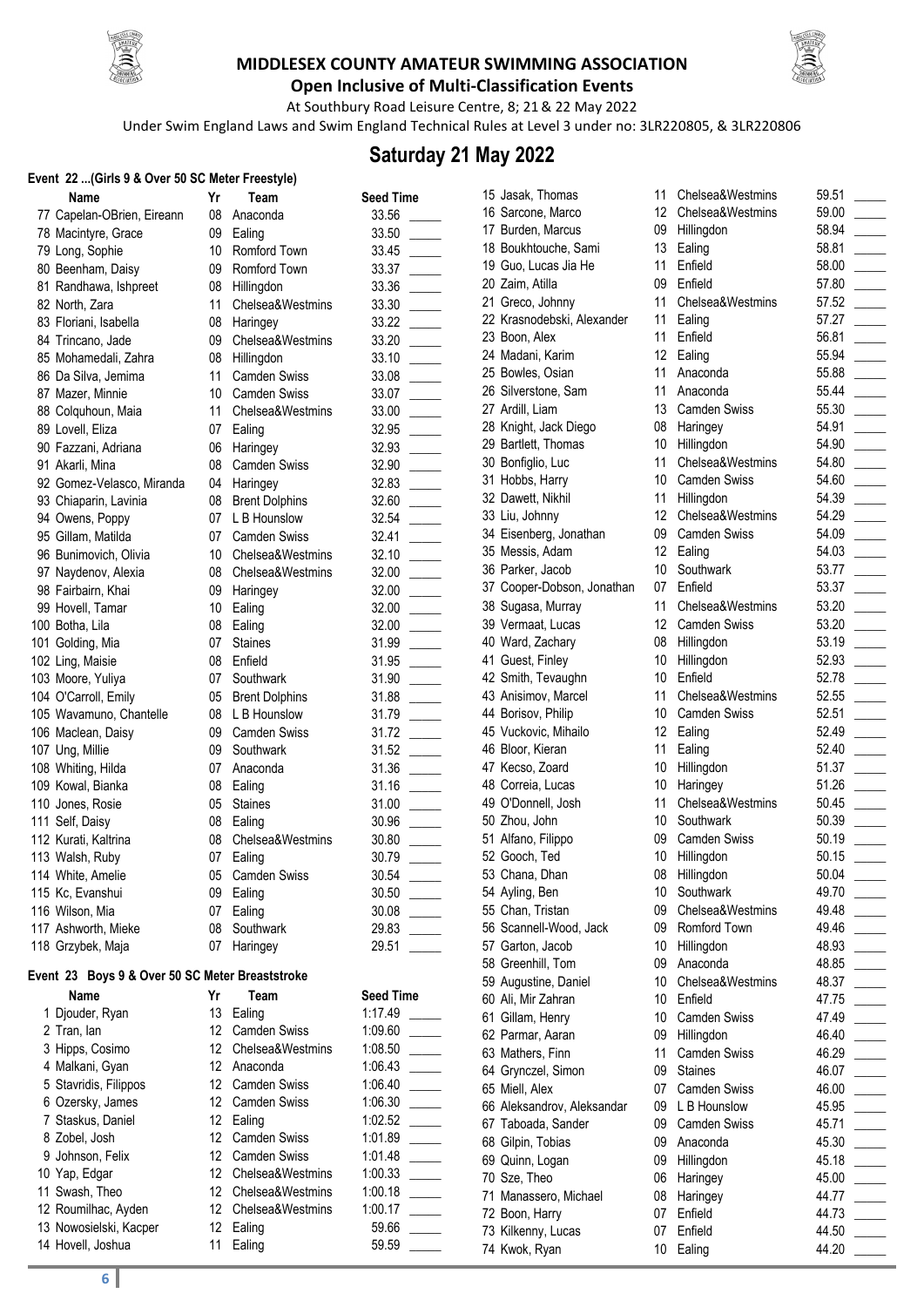



**Open Inclusive of Multi-Classification Events** At Southbury Road Leisure Centre, 8; 21& 22 May 2022

Under Swim England Laws and Swim England Technical Rules at Level 3 under no: 3LR220805, & 3LR220806

# **Saturday 21 May 2022**

#### **Event 22 ...(Girls 9 & Over 50 SC Meter Freestyle)**

| Name                                            | Yr | Team                  | <b>Seed Time</b> |
|-------------------------------------------------|----|-----------------------|------------------|
| 77 Capelan-OBrien, Eireann                      | 08 | Anaconda              | 33.56            |
| 78 Macintyre, Grace                             | 09 | Ealing                | 33.50            |
| 79 Long, Sophie                                 | 10 | Romford Town          | 33.45            |
| 80 Beenham, Daisy                               | 09 | Romford Town          | 33.37            |
| 81 Randhawa, Ishpreet                           | 08 | Hillingdon            | 33.36            |
| 82 North, Zara                                  | 11 | Chelsea&Westmins      | 33.30            |
| 83 Floriani, Isabella                           | 08 | Haringey              | 33.22            |
| 84 Trincano, Jade                               | 09 | Chelsea&Westmins      | 33.20            |
| 85 Mohamedali, Zahra                            | 08 | Hillingdon            | 33.10            |
| 86 Da Silva, Jemima                             | 11 | <b>Camden Swiss</b>   | 33.08            |
| 87 Mazer, Minnie                                | 10 | <b>Camden Swiss</b>   | 33.07            |
| 88 Colquhoun, Maia                              | 11 | Chelsea&Westmins      | 33.00            |
| 89 Lovell, Eliza                                | 07 | Ealing                | 32.95            |
| 90 Fazzani, Adriana                             | 06 | Haringey              | 32.93            |
| 91 Akarli, Mina                                 | 08 | <b>Camden Swiss</b>   | 32.90            |
| 92 Gomez-Velasco, Miranda                       | 04 | Haringey              | 32.83            |
| 93 Chiaparin, Lavinia                           | 08 | <b>Brent Dolphins</b> | 32.60            |
| 94 Owens, Poppy                                 | 07 | L B Hounslow          | 32.54            |
| 95 Gillam, Matilda                              | 07 | <b>Camden Swiss</b>   | 32.41            |
| 96 Bunimovich, Olivia                           |    | 10 Chelsea&Westmins   | 32.10            |
| 97 Naydenov, Alexia                             |    | 08 Chelsea&Westmins   | 32.00            |
| 98 Fairbairn, Khai                              | 09 | Haringey              | 32.00            |
| 99 Hovell, Tamar                                | 10 | Ealing                | 32.00            |
| 100 Botha, Lila                                 | 08 | Ealing                | 32.00            |
| 101 Golding, Mia                                | 07 | <b>Staines</b>        | 31.99            |
| 102 Ling, Maisie                                | 08 | Enfield               | 31.95            |
| 103 Moore, Yuliya                               | 07 | Southwark             | 31.90            |
| 104 O'Carroll, Emily                            |    | 05 Brent Dolphins     | 31.88            |
| 105 Wavamuno, Chantelle                         |    | 08 L B Hounslow       | 31.79            |
| 106 Maclean, Daisy                              |    | 09 Camden Swiss       | 31.72            |
| 107 Ung, Millie                                 | 09 | Southwark             | 31.52            |
| 108 Whiting, Hilda                              | 07 | Anaconda              | 31.36            |
| 109 Kowal, Bianka                               | 08 | Ealing                | 31.16            |
| 110 Jones, Rosie                                | 05 | <b>Staines</b>        | 31.00            |
| 111 Self, Daisy                                 | 08 | Ealing                | 30.96            |
| 112 Kurati, Kaltrina                            | 08 | Chelsea&Westmins      | 30.80            |
| 113 Walsh, Ruby                                 | 07 | Ealing                | 30.79            |
| 114 White, Amelie                               | 05 | <b>Camden Swiss</b>   | 30.54            |
| 115 Kc, Evanshui                                | 09 | Ealing                | 30.50            |
| 116 Wilson, Mia                                 | 07 | Ealing                | 30.08            |
| 117 Ashworth, Mieke                             | 08 | Southwark             | 29.83            |
| 118 Grzybek, Maja                               | 07 | Haringey              | 29.51            |
| Event 23 Boys 9 & Over 50 SC Meter Breaststroke |    |                       |                  |
| Name                                            | Yr | Team                  | <b>Seed Time</b> |
| 1 Djouder, Ryan                                 | 13 | Ealing                | 1:17.49          |

| ' / Capelan-OBrien, Eireann | 08                                                                                                                                                                                                                                                                                                                                                                                                                                                                                                                                                                                                                                                                                                                                                                            | Anaconda                                                                                      | 33.56                                                                                                                                                                                                                                                                                                                                                                                                                                                                       |                                                                                                                                                                                                                                            |
|-----------------------------|-------------------------------------------------------------------------------------------------------------------------------------------------------------------------------------------------------------------------------------------------------------------------------------------------------------------------------------------------------------------------------------------------------------------------------------------------------------------------------------------------------------------------------------------------------------------------------------------------------------------------------------------------------------------------------------------------------------------------------------------------------------------------------|-----------------------------------------------------------------------------------------------|-----------------------------------------------------------------------------------------------------------------------------------------------------------------------------------------------------------------------------------------------------------------------------------------------------------------------------------------------------------------------------------------------------------------------------------------------------------------------------|--------------------------------------------------------------------------------------------------------------------------------------------------------------------------------------------------------------------------------------------|
| 8 Macintyre, Grace          | 09                                                                                                                                                                                                                                                                                                                                                                                                                                                                                                                                                                                                                                                                                                                                                                            | Ealing                                                                                        | 33.50                                                                                                                                                                                                                                                                                                                                                                                                                                                                       |                                                                                                                                                                                                                                            |
| '9 Long, Sophie             | 10 <sup>°</sup>                                                                                                                                                                                                                                                                                                                                                                                                                                                                                                                                                                                                                                                                                                                                                               | Romford Town                                                                                  | 33.45                                                                                                                                                                                                                                                                                                                                                                                                                                                                       |                                                                                                                                                                                                                                            |
|                             | 09                                                                                                                                                                                                                                                                                                                                                                                                                                                                                                                                                                                                                                                                                                                                                                            | Romford Town                                                                                  | 33.37                                                                                                                                                                                                                                                                                                                                                                                                                                                                       |                                                                                                                                                                                                                                            |
|                             | 08                                                                                                                                                                                                                                                                                                                                                                                                                                                                                                                                                                                                                                                                                                                                                                            |                                                                                               | 33.36                                                                                                                                                                                                                                                                                                                                                                                                                                                                       |                                                                                                                                                                                                                                            |
| 32 North, Zara              | 11                                                                                                                                                                                                                                                                                                                                                                                                                                                                                                                                                                                                                                                                                                                                                                            | Chelsea&Westmins                                                                              | 33.30                                                                                                                                                                                                                                                                                                                                                                                                                                                                       |                                                                                                                                                                                                                                            |
|                             | 08                                                                                                                                                                                                                                                                                                                                                                                                                                                                                                                                                                                                                                                                                                                                                                            |                                                                                               | 33.22                                                                                                                                                                                                                                                                                                                                                                                                                                                                       |                                                                                                                                                                                                                                            |
|                             | 09                                                                                                                                                                                                                                                                                                                                                                                                                                                                                                                                                                                                                                                                                                                                                                            |                                                                                               |                                                                                                                                                                                                                                                                                                                                                                                                                                                                             |                                                                                                                                                                                                                                            |
|                             | 08                                                                                                                                                                                                                                                                                                                                                                                                                                                                                                                                                                                                                                                                                                                                                                            |                                                                                               |                                                                                                                                                                                                                                                                                                                                                                                                                                                                             |                                                                                                                                                                                                                                            |
|                             | 11                                                                                                                                                                                                                                                                                                                                                                                                                                                                                                                                                                                                                                                                                                                                                                            | <b>Camden Swiss</b>                                                                           |                                                                                                                                                                                                                                                                                                                                                                                                                                                                             |                                                                                                                                                                                                                                            |
|                             |                                                                                                                                                                                                                                                                                                                                                                                                                                                                                                                                                                                                                                                                                                                                                                               |                                                                                               |                                                                                                                                                                                                                                                                                                                                                                                                                                                                             |                                                                                                                                                                                                                                            |
|                             | 11                                                                                                                                                                                                                                                                                                                                                                                                                                                                                                                                                                                                                                                                                                                                                                            |                                                                                               |                                                                                                                                                                                                                                                                                                                                                                                                                                                                             |                                                                                                                                                                                                                                            |
|                             |                                                                                                                                                                                                                                                                                                                                                                                                                                                                                                                                                                                                                                                                                                                                                                               |                                                                                               |                                                                                                                                                                                                                                                                                                                                                                                                                                                                             |                                                                                                                                                                                                                                            |
|                             |                                                                                                                                                                                                                                                                                                                                                                                                                                                                                                                                                                                                                                                                                                                                                                               |                                                                                               |                                                                                                                                                                                                                                                                                                                                                                                                                                                                             |                                                                                                                                                                                                                                            |
|                             |                                                                                                                                                                                                                                                                                                                                                                                                                                                                                                                                                                                                                                                                                                                                                                               |                                                                                               |                                                                                                                                                                                                                                                                                                                                                                                                                                                                             |                                                                                                                                                                                                                                            |
|                             |                                                                                                                                                                                                                                                                                                                                                                                                                                                                                                                                                                                                                                                                                                                                                                               |                                                                                               |                                                                                                                                                                                                                                                                                                                                                                                                                                                                             |                                                                                                                                                                                                                                            |
|                             |                                                                                                                                                                                                                                                                                                                                                                                                                                                                                                                                                                                                                                                                                                                                                                               |                                                                                               |                                                                                                                                                                                                                                                                                                                                                                                                                                                                             |                                                                                                                                                                                                                                            |
|                             |                                                                                                                                                                                                                                                                                                                                                                                                                                                                                                                                                                                                                                                                                                                                                                               |                                                                                               |                                                                                                                                                                                                                                                                                                                                                                                                                                                                             |                                                                                                                                                                                                                                            |
|                             |                                                                                                                                                                                                                                                                                                                                                                                                                                                                                                                                                                                                                                                                                                                                                                               |                                                                                               |                                                                                                                                                                                                                                                                                                                                                                                                                                                                             |                                                                                                                                                                                                                                            |
|                             |                                                                                                                                                                                                                                                                                                                                                                                                                                                                                                                                                                                                                                                                                                                                                                               |                                                                                               |                                                                                                                                                                                                                                                                                                                                                                                                                                                                             |                                                                                                                                                                                                                                            |
|                             |                                                                                                                                                                                                                                                                                                                                                                                                                                                                                                                                                                                                                                                                                                                                                                               |                                                                                               |                                                                                                                                                                                                                                                                                                                                                                                                                                                                             |                                                                                                                                                                                                                                            |
|                             |                                                                                                                                                                                                                                                                                                                                                                                                                                                                                                                                                                                                                                                                                                                                                                               |                                                                                               |                                                                                                                                                                                                                                                                                                                                                                                                                                                                             |                                                                                                                                                                                                                                            |
|                             |                                                                                                                                                                                                                                                                                                                                                                                                                                                                                                                                                                                                                                                                                                                                                                               |                                                                                               |                                                                                                                                                                                                                                                                                                                                                                                                                                                                             |                                                                                                                                                                                                                                            |
|                             |                                                                                                                                                                                                                                                                                                                                                                                                                                                                                                                                                                                                                                                                                                                                                                               |                                                                                               |                                                                                                                                                                                                                                                                                                                                                                                                                                                                             |                                                                                                                                                                                                                                            |
|                             |                                                                                                                                                                                                                                                                                                                                                                                                                                                                                                                                                                                                                                                                                                                                                                               | <b>Staines</b>                                                                                |                                                                                                                                                                                                                                                                                                                                                                                                                                                                             |                                                                                                                                                                                                                                            |
|                             |                                                                                                                                                                                                                                                                                                                                                                                                                                                                                                                                                                                                                                                                                                                                                                               |                                                                                               |                                                                                                                                                                                                                                                                                                                                                                                                                                                                             |                                                                                                                                                                                                                                            |
|                             |                                                                                                                                                                                                                                                                                                                                                                                                                                                                                                                                                                                                                                                                                                                                                                               | Southwark                                                                                     |                                                                                                                                                                                                                                                                                                                                                                                                                                                                             |                                                                                                                                                                                                                                            |
|                             | 05                                                                                                                                                                                                                                                                                                                                                                                                                                                                                                                                                                                                                                                                                                                                                                            |                                                                                               |                                                                                                                                                                                                                                                                                                                                                                                                                                                                             |                                                                                                                                                                                                                                            |
|                             | 08                                                                                                                                                                                                                                                                                                                                                                                                                                                                                                                                                                                                                                                                                                                                                                            | L B Hounslow                                                                                  |                                                                                                                                                                                                                                                                                                                                                                                                                                                                             |                                                                                                                                                                                                                                            |
|                             | 09                                                                                                                                                                                                                                                                                                                                                                                                                                                                                                                                                                                                                                                                                                                                                                            | <b>Camden Swiss</b>                                                                           | 31.72                                                                                                                                                                                                                                                                                                                                                                                                                                                                       |                                                                                                                                                                                                                                            |
|                             | 09                                                                                                                                                                                                                                                                                                                                                                                                                                                                                                                                                                                                                                                                                                                                                                            | Southwark                                                                                     | 31.52                                                                                                                                                                                                                                                                                                                                                                                                                                                                       |                                                                                                                                                                                                                                            |
|                             | 07                                                                                                                                                                                                                                                                                                                                                                                                                                                                                                                                                                                                                                                                                                                                                                            | Anaconda                                                                                      |                                                                                                                                                                                                                                                                                                                                                                                                                                                                             |                                                                                                                                                                                                                                            |
|                             | 08                                                                                                                                                                                                                                                                                                                                                                                                                                                                                                                                                                                                                                                                                                                                                                            |                                                                                               | 31.16                                                                                                                                                                                                                                                                                                                                                                                                                                                                       |                                                                                                                                                                                                                                            |
|                             | 05                                                                                                                                                                                                                                                                                                                                                                                                                                                                                                                                                                                                                                                                                                                                                                            | <b>Staines</b>                                                                                | 31.00                                                                                                                                                                                                                                                                                                                                                                                                                                                                       |                                                                                                                                                                                                                                            |
|                             | 08                                                                                                                                                                                                                                                                                                                                                                                                                                                                                                                                                                                                                                                                                                                                                                            | Ealing                                                                                        | 30.96                                                                                                                                                                                                                                                                                                                                                                                                                                                                       |                                                                                                                                                                                                                                            |
|                             | 08                                                                                                                                                                                                                                                                                                                                                                                                                                                                                                                                                                                                                                                                                                                                                                            | Chelsea&Westmins                                                                              | 30.80                                                                                                                                                                                                                                                                                                                                                                                                                                                                       |                                                                                                                                                                                                                                            |
|                             | 07                                                                                                                                                                                                                                                                                                                                                                                                                                                                                                                                                                                                                                                                                                                                                                            |                                                                                               | 30.79                                                                                                                                                                                                                                                                                                                                                                                                                                                                       |                                                                                                                                                                                                                                            |
| 4 White, Amelie             | 05                                                                                                                                                                                                                                                                                                                                                                                                                                                                                                                                                                                                                                                                                                                                                                            | Camden Swiss                                                                                  | 30.54                                                                                                                                                                                                                                                                                                                                                                                                                                                                       |                                                                                                                                                                                                                                            |
| 5 Kc, Evanshui              | 09                                                                                                                                                                                                                                                                                                                                                                                                                                                                                                                                                                                                                                                                                                                                                                            | Ealing                                                                                        | 30.50                                                                                                                                                                                                                                                                                                                                                                                                                                                                       |                                                                                                                                                                                                                                            |
| 6 Wilson, Mia               |                                                                                                                                                                                                                                                                                                                                                                                                                                                                                                                                                                                                                                                                                                                                                                               |                                                                                               | 30.08                                                                                                                                                                                                                                                                                                                                                                                                                                                                       |                                                                                                                                                                                                                                            |
| 7 Ashworth, Mieke           | 08                                                                                                                                                                                                                                                                                                                                                                                                                                                                                                                                                                                                                                                                                                                                                                            | Southwark                                                                                     | 29.83                                                                                                                                                                                                                                                                                                                                                                                                                                                                       |                                                                                                                                                                                                                                            |
| 8 Grzybek, Maja             | 07                                                                                                                                                                                                                                                                                                                                                                                                                                                                                                                                                                                                                                                                                                                                                                            | Haringey                                                                                      | 29.51                                                                                                                                                                                                                                                                                                                                                                                                                                                                       |                                                                                                                                                                                                                                            |
|                             |                                                                                                                                                                                                                                                                                                                                                                                                                                                                                                                                                                                                                                                                                                                                                                               |                                                                                               |                                                                                                                                                                                                                                                                                                                                                                                                                                                                             |                                                                                                                                                                                                                                            |
| <b>Name</b>                 | Yr                                                                                                                                                                                                                                                                                                                                                                                                                                                                                                                                                                                                                                                                                                                                                                            | Team                                                                                          |                                                                                                                                                                                                                                                                                                                                                                                                                                                                             |                                                                                                                                                                                                                                            |
|                             | 13                                                                                                                                                                                                                                                                                                                                                                                                                                                                                                                                                                                                                                                                                                                                                                            |                                                                                               | 1:17.49                                                                                                                                                                                                                                                                                                                                                                                                                                                                     |                                                                                                                                                                                                                                            |
|                             |                                                                                                                                                                                                                                                                                                                                                                                                                                                                                                                                                                                                                                                                                                                                                                               | Camden Swiss                                                                                  |                                                                                                                                                                                                                                                                                                                                                                                                                                                                             |                                                                                                                                                                                                                                            |
|                             |                                                                                                                                                                                                                                                                                                                                                                                                                                                                                                                                                                                                                                                                                                                                                                               | Chelsea&Westmins                                                                              | 1:08.50                                                                                                                                                                                                                                                                                                                                                                                                                                                                     |                                                                                                                                                                                                                                            |
| 4 Malkani, Gyan             |                                                                                                                                                                                                                                                                                                                                                                                                                                                                                                                                                                                                                                                                                                                                                                               |                                                                                               | 1:06.43                                                                                                                                                                                                                                                                                                                                                                                                                                                                     |                                                                                                                                                                                                                                            |
|                             | 30 Beenham, Daisy<br>31 Randhawa, Ishpreet<br>33 Floriani, Isabella<br>34 Trincano, Jade<br>35 Mohamedali, Zahra<br>36 Da Silva, Jemima<br>37 Mazer, Minnie<br>38 Colquhoun, Maia<br>39 Lovell, Eliza<br>0 Fazzani, Adriana<br>31 Akarli, Mina<br>32 Gomez-Velasco, Miranda<br>3 Chiaparin, Lavinia<br>34 Owens, Poppy<br>35 Gillam, Matilda<br>06 Bunimovich, Olivia<br>37 Naydenov, Alexia<br>8 Fairbairn, Khai<br>99 Hovell, Tamar<br>)0 Botha, Lila<br>1 Golding, Mia<br>2 Ling, Maisie<br>3 Moore, Yuliya<br>04 O'Carroll, Emily<br>05 Wavamuno, Chantelle<br>06 Maclean, Daisy<br>7 Ung, Millie<br>08 Whiting, Hilda<br>09 Kowal, Bianka<br>0 Jones, Rosie<br>1 Self, Daisy<br>2 Kurati, Kaltrina<br>3 Walsh, Ruby<br>1 Djouder, Ryan<br>2 Tran, lan<br>3 Hipps, Cosimo | 10<br>07<br>06<br>08<br>04<br>08<br>07<br>10 <sup>°</sup><br>08<br>09<br>10<br>08<br>07<br>08 | Hillingdon<br>Haringey<br>Chelsea&Westmins<br>Hillingdon<br><b>Camden Swiss</b><br>Chelsea&Westmins<br>Ealing<br>Haringey<br><b>Camden Swiss</b><br>Haringey<br><b>Brent Dolphins</b><br>07<br>L B Hounslow<br><b>Camden Swiss</b><br>Chelsea&Westmins<br>Chelsea&Westmins<br>Haringey<br>Ealing<br>Ealing<br>Enfield<br>07<br><b>Brent Dolphins</b><br>Ealing<br>Ealing<br>07 Ealing<br>ent 23 Boys 9 & Over 50 SC Meter Breaststroke<br>Ealing<br>12<br>12<br>12 Anaconda | 33.20<br>33.10<br>33.08<br>33.07<br>33.00<br>32.95<br>32.93<br>32.90<br>32.83<br>32.60<br>32.54<br>32.41<br>32.10<br>32.00<br>32.00<br>32.00<br>32.00<br>31.99<br>31.95<br>31.90<br>31.88<br>31.79<br>31.36<br><b>Seed Time</b><br>1:09.60 |

5 Stavridis, Filippos 12 Camden Swiss 1:06.40 Ozersky, James 12 Camden Swiss 1:06.30 \_\_\_\_\_ 7 Staskus, Daniel 12 Ealing 1:02.52 8 Zobel, Josh 12 Camden Swiss 1:01.89 9 Johnson, Felix 12 Camden Swiss 1:01.48 10 Yap, Edgar 12 Chelsea&Westmins 1:00.33 11 Swash, Theo 12 Chelsea&Westmins 1:00.18 Roumilhac, Ayden 12 Chelsea&Westmins 1:00.17 \_\_\_\_\_ 13 Nowosielski, Kacper 12 Ealing 59.66 14 Hovell, Joshua 11 Ealing 59.59

|    | 16 Sarcone, M    |
|----|------------------|
|    | 17 Burden, Ma    |
|    | 18 Boukhtoucl    |
|    | 19 Guo, Lucas    |
| 20 | Zaim, Atilla     |
|    | 21 Greco, Joh    |
| 22 | Krasnodeb        |
|    | 23 Boon, Alex    |
|    | 24 Madani, Ka    |
|    | 25 Bowles, Os    |
|    | 26 Silverstone   |
|    |                  |
|    | 27 Ardill, Liam  |
|    | 28 Knight, Jac   |
|    | 29 Bartlett, Th  |
|    | 30 Bonfiglio, L  |
|    | 31 Hobbs, Har    |
| 32 | Dawett, Nik      |
| 33 | Liu, Johnny      |
| 34 | Eisenberg,       |
| 35 | Messis, Ad       |
| 36 | Parker, Jac      |
|    | 37 Cooper-Do     |
|    | 38 Sugasa, Mr    |
| 39 | Vermaat, L       |
|    |                  |
|    | 40 Ward, Zach    |
|    | 41 Guest, Finl   |
|    | 42 Smith, Teva   |
|    | 43 Anisimov, M   |
|    | 44 Borisov, Ph   |
|    | 45 Vuckovic, M   |
| 46 | Bloor, Kiera     |
|    | 47 Kecso, Zoa    |
|    | 48 Correia, Lu   |
|    | 49 O'Donnell,    |
| 50 | Zhou, John       |
|    | 51 Alfano, Filip |
|    | 52 Gooch, Teo    |
|    | 53 Chana, Dha    |
|    |                  |
|    | 54 Ayling, Ben   |
| 55 | Chan, Trist      |
| 56 | Scannell-W       |
| 57 | Garton, Jao      |
| 58 | Greenhill, 7     |
| 59 | Augustine,       |
| 60 | Ali, Mir Zah     |
| 61 | Gillam, Her      |
| 62 | Parmar, Aa       |
| 63 | Mathers, Fi      |
| 64 | Grynczel, S      |
| 65 | Miell, Alex      |
| 66 | Aleksandro       |
| 67 | Taboada, S       |
| 68 |                  |
|    | Gilpin, Tob      |
|    | 69 Quinn, Log    |
| 70 | Sze, Theo        |
|    |                  |

| 15 Jasak, Thomas           | 11              | Chelsea&Westmins    | 59.51 |  |
|----------------------------|-----------------|---------------------|-------|--|
| 16 Sarcone, Marco          | 12              | Chelsea&Westmins    | 59.00 |  |
| 17 Burden, Marcus          | 09              | Hillingdon          | 58.94 |  |
| 18 Boukhtouche, Sami       | 13              | Ealing              | 58.81 |  |
| 19 Guo, Lucas Jia He       | 11              | Enfield             | 58.00 |  |
| 20 Zaim, Atilla            | 09              | Enfield             | 57.80 |  |
| 21 Greco, Johnny           | 11              | Chelsea&Westmins    | 57.52 |  |
| 22 Krasnodebski, Alexander | 11              | Ealing              | 57.27 |  |
| 23 Boon, Alex              | 11              | Enfield             | 56.81 |  |
| 24 Madani, Karim           | 12              | Ealing              | 55.94 |  |
| 25 Bowles, Osian           | 11              | Anaconda            | 55.88 |  |
| 26 Silverstone, Sam        | 11              | Anaconda            | 55.44 |  |
| 27 Ardill, Liam            | 13              | <b>Camden Swiss</b> | 55.30 |  |
| 28 Knight, Jack Diego      | 08              | Haringey            | 54.91 |  |
| 29 Bartlett, Thomas        | 10              | Hillingdon          | 54.90 |  |
| 30 Bonfiglio, Luc          | 11              | Chelsea&Westmins    | 54.80 |  |
| 31 Hobbs, Harry            | 10              | <b>Camden Swiss</b> | 54.60 |  |
| 32 Dawett, Nikhil          | 11              | Hillingdon          | 54.39 |  |
| 33 Liu, Johnny             | 12              | Chelsea&Westmins    | 54.29 |  |
| 34 Eisenberg, Jonathan     | 09              | <b>Camden Swiss</b> | 54.09 |  |
| 35 Messis, Adam            | 12              | Ealing              | 54.03 |  |
| 36 Parker, Jacob           | 10              | Southwark           | 53.77 |  |
| 37 Cooper-Dobson, Jonathan | 07              | Enfield             | 53.37 |  |
| 38 Sugasa, Murray          | 11              | Chelsea&Westmins    | 53.20 |  |
| 39 Vermaat, Lucas          | 12              | <b>Camden Swiss</b> | 53.20 |  |
| 40 Ward, Zachary           | 08              | Hillingdon          | 53.19 |  |
| 41 Guest, Finley           | 10              | Hillingdon          | 52.93 |  |
| 42 Smith, Tevaughn         | 10 <sup>1</sup> | Enfield             | 52.78 |  |
| 43 Anisimov, Marcel        | 11              | Chelsea&Westmins    | 52.55 |  |
| 44 Borisov, Philip         | 10 <sup>1</sup> | <b>Camden Swiss</b> | 52.51 |  |
| 45 Vuckovic, Mihailo       | 12              | Ealing              | 52.49 |  |
| 46 Bloor, Kieran           | 11              | Ealing              | 52.40 |  |
| 47 Kecso, Zoard            | 10              | Hillingdon          | 51.37 |  |
| 48 Correia, Lucas          | 10              | Haringey            | 51.26 |  |
| 49 O'Donnell, Josh         | 11              | Chelsea&Westmins    | 50.45 |  |
| 50 Zhou, John              | 10              | Southwark           | 50.39 |  |
| 51 Alfano, Filippo         | 09              | <b>Camden Swiss</b> | 50.19 |  |
| 52 Gooch, Ted              | 10              | Hillingdon          | 50.15 |  |
| 53 Chana, Dhan             | 08              | Hillingdon          | 50.04 |  |
| 54 Ayling, Ben             | 10              | Southwark           | 49.70 |  |
| 55 Chan, Tristan           | 09              | Chelsea&Westmins    | 49.48 |  |
| 56 Scannell-Wood, Jack     | 09              | Romford Town        | 49.46 |  |
| 57 Garton, Jacob           | 10              | Hillingdon          | 48.93 |  |
| 58 Greenhill, Tom          | 09              | Anaconda            | 48.85 |  |
| 59 Augustine, Daniel       | 10              | Chelsea&Westmins    | 48.37 |  |
| 60 Ali, Mir Zahran         | 10              | Enfield             | 47.75 |  |
| 61 Gillam, Henry           | 10              | <b>Camden Swiss</b> | 47.49 |  |
| 62 Parmar, Aaran           | 09              | Hillingdon          | 46.40 |  |
| 63 Mathers, Finn           | 11              | <b>Camden Swiss</b> | 46.29 |  |
| 64 Grynczel, Simon         | 09              | <b>Staines</b>      | 46.07 |  |
| 65 Miell, Alex             | 07              | <b>Camden Swiss</b> | 46.00 |  |
| 66 Aleksandrov, Aleksandar | 09              | L B Hounslow        | 45.95 |  |
| 67 Taboada, Sander         | 09              | <b>Camden Swiss</b> | 45.71 |  |
| 68 Gilpin, Tobias          | 09              | Anaconda            | 45.30 |  |
| 69 Quinn, Logan            | 09              | Hillingdon          | 45.18 |  |
| 70 Sze, Theo               | 06              | Haringey            | 45.00 |  |
| 71 Manassero, Michael      | 08              | Haringey            | 44.77 |  |
| 72 Boon, Harry             | 07              | Enfield             | 44.73 |  |
| 73 Kilkenny, Lucas         | 07              | Enfield             | 44.50 |  |
| 74 Kwok, Ryan              | 10              | Ealing              | 44.20 |  |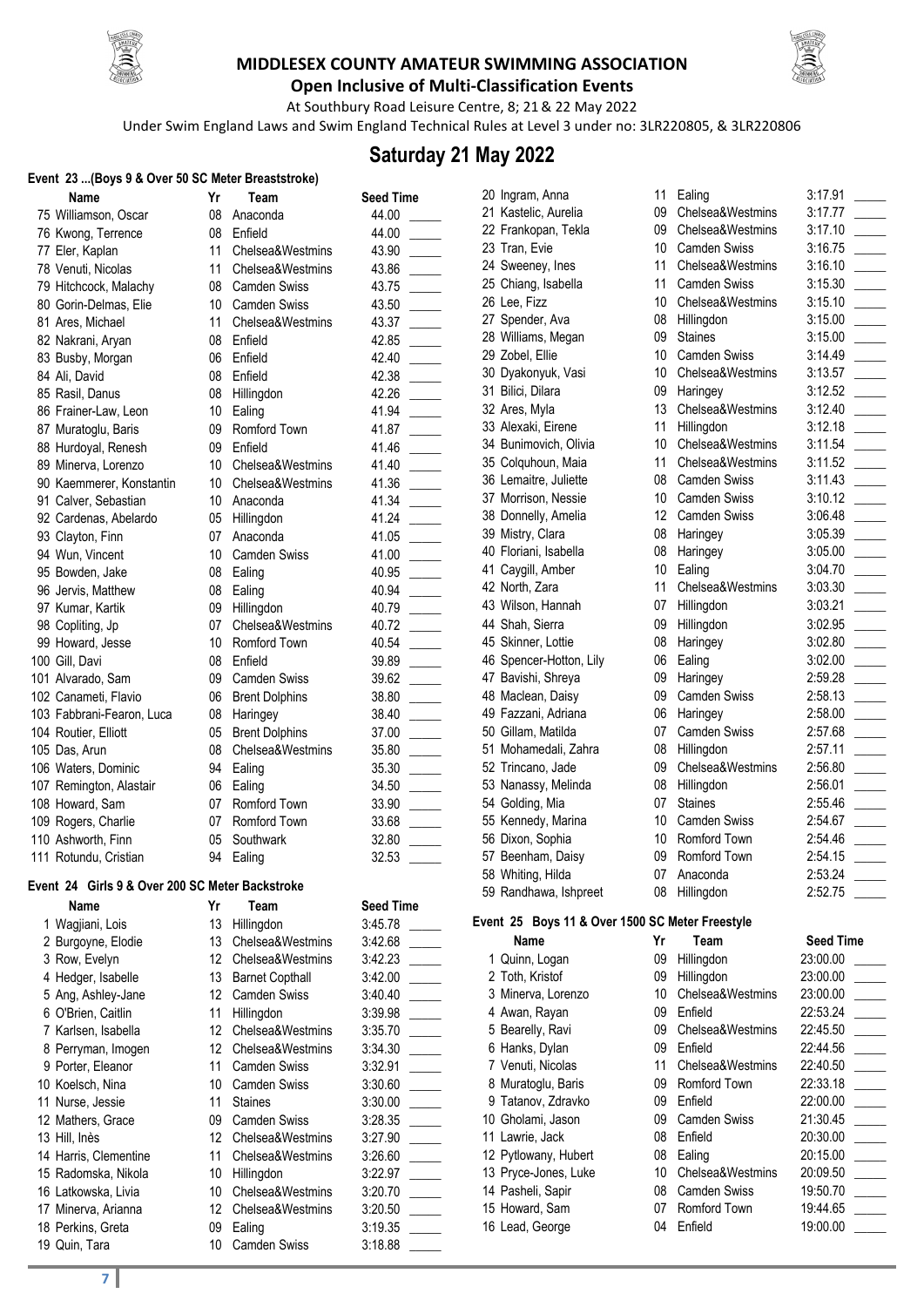



**Open Inclusive of Multi-Classification Events**

At Southbury Road Leisure Centre, 8; 21& 22 May 2022 Under Swim England Laws and Swim England Technical Rules at Level 3 under no: 3LR220805, & 3LR220806

# **Saturday 21 May 2022**

#### **Event 23 ...(Boys 9 & Over 50 SC Meter Breaststroke)**

| Name | Yr                                                                                                                                                                                                                                                                                                                                                                                                                                                                                                                                                                                                                                                                                                                                                                                                                                           | Team                                                                                   | <b>Seed Time</b>                                                                                                                                                                                                                                        |
|------|----------------------------------------------------------------------------------------------------------------------------------------------------------------------------------------------------------------------------------------------------------------------------------------------------------------------------------------------------------------------------------------------------------------------------------------------------------------------------------------------------------------------------------------------------------------------------------------------------------------------------------------------------------------------------------------------------------------------------------------------------------------------------------------------------------------------------------------------|----------------------------------------------------------------------------------------|---------------------------------------------------------------------------------------------------------------------------------------------------------------------------------------------------------------------------------------------------------|
|      | 08                                                                                                                                                                                                                                                                                                                                                                                                                                                                                                                                                                                                                                                                                                                                                                                                                                           | Anaconda                                                                               | 44.00                                                                                                                                                                                                                                                   |
|      | 08                                                                                                                                                                                                                                                                                                                                                                                                                                                                                                                                                                                                                                                                                                                                                                                                                                           | Enfield                                                                                | 44.00                                                                                                                                                                                                                                                   |
|      | 11                                                                                                                                                                                                                                                                                                                                                                                                                                                                                                                                                                                                                                                                                                                                                                                                                                           | Chelsea&Westmins                                                                       | 43.90                                                                                                                                                                                                                                                   |
|      | 11                                                                                                                                                                                                                                                                                                                                                                                                                                                                                                                                                                                                                                                                                                                                                                                                                                           | Chelsea&Westmins                                                                       | 43.86                                                                                                                                                                                                                                                   |
|      | 08                                                                                                                                                                                                                                                                                                                                                                                                                                                                                                                                                                                                                                                                                                                                                                                                                                           | <b>Camden Swiss</b>                                                                    | 43.75                                                                                                                                                                                                                                                   |
|      | 10                                                                                                                                                                                                                                                                                                                                                                                                                                                                                                                                                                                                                                                                                                                                                                                                                                           | <b>Camden Swiss</b>                                                                    | 43.50                                                                                                                                                                                                                                                   |
|      | 11                                                                                                                                                                                                                                                                                                                                                                                                                                                                                                                                                                                                                                                                                                                                                                                                                                           | Chelsea&Westmins                                                                       | 43.37                                                                                                                                                                                                                                                   |
|      | 08                                                                                                                                                                                                                                                                                                                                                                                                                                                                                                                                                                                                                                                                                                                                                                                                                                           | Enfield                                                                                | 42.85                                                                                                                                                                                                                                                   |
|      | 06                                                                                                                                                                                                                                                                                                                                                                                                                                                                                                                                                                                                                                                                                                                                                                                                                                           | Enfield                                                                                | 42.40                                                                                                                                                                                                                                                   |
|      | 08                                                                                                                                                                                                                                                                                                                                                                                                                                                                                                                                                                                                                                                                                                                                                                                                                                           | Enfield                                                                                | 42.38                                                                                                                                                                                                                                                   |
|      | 08                                                                                                                                                                                                                                                                                                                                                                                                                                                                                                                                                                                                                                                                                                                                                                                                                                           | Hillingdon                                                                             | 42.26                                                                                                                                                                                                                                                   |
|      | 10                                                                                                                                                                                                                                                                                                                                                                                                                                                                                                                                                                                                                                                                                                                                                                                                                                           | Ealing                                                                                 | 41.94                                                                                                                                                                                                                                                   |
|      | 09                                                                                                                                                                                                                                                                                                                                                                                                                                                                                                                                                                                                                                                                                                                                                                                                                                           | Romford Town                                                                           | 41.87                                                                                                                                                                                                                                                   |
|      | 09                                                                                                                                                                                                                                                                                                                                                                                                                                                                                                                                                                                                                                                                                                                                                                                                                                           | Enfield                                                                                | 41.46                                                                                                                                                                                                                                                   |
|      | 10                                                                                                                                                                                                                                                                                                                                                                                                                                                                                                                                                                                                                                                                                                                                                                                                                                           | Chelsea&Westmins                                                                       | 41.40                                                                                                                                                                                                                                                   |
|      | 10                                                                                                                                                                                                                                                                                                                                                                                                                                                                                                                                                                                                                                                                                                                                                                                                                                           | Chelsea&Westmins                                                                       | 41.36                                                                                                                                                                                                                                                   |
|      | 10                                                                                                                                                                                                                                                                                                                                                                                                                                                                                                                                                                                                                                                                                                                                                                                                                                           | Anaconda                                                                               | 41.34                                                                                                                                                                                                                                                   |
|      | 05                                                                                                                                                                                                                                                                                                                                                                                                                                                                                                                                                                                                                                                                                                                                                                                                                                           | Hillingdon                                                                             | 41.24                                                                                                                                                                                                                                                   |
|      | 07                                                                                                                                                                                                                                                                                                                                                                                                                                                                                                                                                                                                                                                                                                                                                                                                                                           | Anaconda                                                                               | 41.05                                                                                                                                                                                                                                                   |
|      | 10                                                                                                                                                                                                                                                                                                                                                                                                                                                                                                                                                                                                                                                                                                                                                                                                                                           | <b>Camden Swiss</b>                                                                    | 41.00                                                                                                                                                                                                                                                   |
|      | 08                                                                                                                                                                                                                                                                                                                                                                                                                                                                                                                                                                                                                                                                                                                                                                                                                                           | Ealing                                                                                 | 40.95                                                                                                                                                                                                                                                   |
|      | 08                                                                                                                                                                                                                                                                                                                                                                                                                                                                                                                                                                                                                                                                                                                                                                                                                                           |                                                                                        | 40.94                                                                                                                                                                                                                                                   |
|      |                                                                                                                                                                                                                                                                                                                                                                                                                                                                                                                                                                                                                                                                                                                                                                                                                                              |                                                                                        | 40.79                                                                                                                                                                                                                                                   |
|      |                                                                                                                                                                                                                                                                                                                                                                                                                                                                                                                                                                                                                                                                                                                                                                                                                                              |                                                                                        | 40.72                                                                                                                                                                                                                                                   |
|      |                                                                                                                                                                                                                                                                                                                                                                                                                                                                                                                                                                                                                                                                                                                                                                                                                                              |                                                                                        | 40.54                                                                                                                                                                                                                                                   |
|      |                                                                                                                                                                                                                                                                                                                                                                                                                                                                                                                                                                                                                                                                                                                                                                                                                                              |                                                                                        | 39.89                                                                                                                                                                                                                                                   |
|      |                                                                                                                                                                                                                                                                                                                                                                                                                                                                                                                                                                                                                                                                                                                                                                                                                                              |                                                                                        | 39.62                                                                                                                                                                                                                                                   |
|      |                                                                                                                                                                                                                                                                                                                                                                                                                                                                                                                                                                                                                                                                                                                                                                                                                                              |                                                                                        | 38.80                                                                                                                                                                                                                                                   |
|      |                                                                                                                                                                                                                                                                                                                                                                                                                                                                                                                                                                                                                                                                                                                                                                                                                                              |                                                                                        | 38.40                                                                                                                                                                                                                                                   |
|      |                                                                                                                                                                                                                                                                                                                                                                                                                                                                                                                                                                                                                                                                                                                                                                                                                                              |                                                                                        | 37.00                                                                                                                                                                                                                                                   |
|      |                                                                                                                                                                                                                                                                                                                                                                                                                                                                                                                                                                                                                                                                                                                                                                                                                                              |                                                                                        | 35.80                                                                                                                                                                                                                                                   |
|      |                                                                                                                                                                                                                                                                                                                                                                                                                                                                                                                                                                                                                                                                                                                                                                                                                                              |                                                                                        | 35.30                                                                                                                                                                                                                                                   |
|      |                                                                                                                                                                                                                                                                                                                                                                                                                                                                                                                                                                                                                                                                                                                                                                                                                                              |                                                                                        | 34.50                                                                                                                                                                                                                                                   |
|      |                                                                                                                                                                                                                                                                                                                                                                                                                                                                                                                                                                                                                                                                                                                                                                                                                                              |                                                                                        | 33.90                                                                                                                                                                                                                                                   |
|      |                                                                                                                                                                                                                                                                                                                                                                                                                                                                                                                                                                                                                                                                                                                                                                                                                                              |                                                                                        | 33.68                                                                                                                                                                                                                                                   |
|      |                                                                                                                                                                                                                                                                                                                                                                                                                                                                                                                                                                                                                                                                                                                                                                                                                                              |                                                                                        | 32.80                                                                                                                                                                                                                                                   |
|      |                                                                                                                                                                                                                                                                                                                                                                                                                                                                                                                                                                                                                                                                                                                                                                                                                                              |                                                                                        | 32.53                                                                                                                                                                                                                                                   |
|      | 75 Williamson, Oscar<br>76 Kwong, Terrence<br>77 Eler, Kaplan<br>78 Venuti, Nicolas<br>79 Hitchcock, Malachy<br>80 Gorin-Delmas, Elie<br>81 Ares, Michael<br>82 Nakrani, Aryan<br>83 Busby, Morgan<br>84 Ali, David<br>85 Rasil, Danus<br>86 Frainer-Law, Leon<br>87 Muratoglu, Baris<br>88 Hurdoyal, Renesh<br>89 Minerva, Lorenzo<br>90 Kaemmerer, Konstantin<br>91 Calver, Sebastian<br>92 Cardenas, Abelardo<br>93 Clayton, Finn<br>94 Wun, Vincent<br>95 Bowden, Jake<br>96 Jervis, Matthew<br>97 Kumar, Kartik<br>98 Copliting, Jp<br>99 Howard, Jesse<br>100 Gill, Davi<br>101 Alvarado, Sam<br>102 Canameti, Flavio<br>103 Fabbrani-Fearon, Luca<br>104 Routier, Elliott<br>105 Das, Arun<br>106 Waters, Dominic<br>107 Remington, Alastair<br>108 Howard, Sam<br>109 Rogers, Charlie<br>110 Ashworth, Finn<br>111 Rotundu, Cristian | 09<br>07<br>10<br>08<br>09<br>06<br>08<br>05<br>08<br>94<br>06<br>07<br>07<br>05<br>94 | Ealing<br>Hillingdon<br>Chelsea&Westmins<br>Romford Town<br>Enfield<br><b>Camden Swiss</b><br><b>Brent Dolphins</b><br>Haringey<br><b>Brent Dolphins</b><br>Chelsea&Westmins<br>Ealing<br>Ealing<br>Romford Town<br>Romford Town<br>Southwark<br>Ealing |

| ٢                        | Team                  | <b>Seed Time</b> |  |
|--------------------------|-----------------------|------------------|--|
| 3                        | Anaconda              | 44.00            |  |
| 3                        | Enfield               | 44.00            |  |
| 1                        | Chelsea&Westmins      | 43.90            |  |
| 1                        | Chelsea&Westmins      | 43.86            |  |
| 3                        | <b>Camden Swiss</b>   | 43.75            |  |
| C                        | <b>Camden Swiss</b>   | 43.50            |  |
| 1                        | Chelsea&Westmins      | 43.37            |  |
| 3                        | Enfield               | 42.85            |  |
| ĉ                        | Enfield               | 42.40            |  |
| 3                        | Enfield               | 42.38            |  |
| 3                        | Hillingdon            | 42.26            |  |
| J                        | Ealing                | 41.94            |  |
| 9                        | Romford Town          | 41.87            |  |
| 9                        | Enfield               | 41.46            |  |
| C                        | Chelsea&Westmins      | 41.40            |  |
| C                        | Chelsea&Westmins      | 41.36            |  |
| C                        | Anaconda              | 41.34            |  |
| 5                        | Hillingdon            | 41.24            |  |
| $\overline{\mathcal{L}}$ | Anaconda              | 41.05            |  |
| ງ                        | <b>Camden Swiss</b>   | 41.00            |  |
| 3                        | Ealing                | 40.95            |  |
| 3                        | Ealing                | 40.94            |  |
| 9                        | Hillingdon            | 40.79            |  |
| $\overline{1}$           | Chelsea&Westmins      | 40.72            |  |
| C                        | Romford Town          | 40.54            |  |
| 3                        | Enfield               | 39.89            |  |
| €                        | <b>Camden Swiss</b>   | 39.62            |  |
| ĉ                        | <b>Brent Dolphins</b> | 38.80            |  |
| 3                        | Haringey              | 38.40            |  |
| 5                        | <b>Brent Dolphins</b> | 37.00            |  |
| 3                        | Chelsea&Westmins      | 35.80            |  |
| 1                        | Ealing                | 35.30            |  |
| ĉ                        | Ealing                | 34.50            |  |
| 7                        | Romford Town          | 33.90            |  |
| $\overline{\phantom{a}}$ | Romford Town          | 33.68            |  |
| 5                        | Southwark             | 32.80            |  |
| 1                        | Ealing                | 32.53            |  |
|                          |                       |                  |  |

#### **Event 24 Girls 9 & Over 200 SC Meter Backstroke**

| <b>Name</b>           | Yr | Team                   | <b>Seed Time</b> |  |
|-----------------------|----|------------------------|------------------|--|
| 1 Wagjiani, Lois      | 13 | Hillingdon             | 3:45.78          |  |
| 2 Burgoyne, Elodie    | 13 | Chelsea&Westmins       | 3:42.68          |  |
| 3 Row, Evelyn         | 12 | Chelsea&Westmins       | 3:42.23          |  |
| 4 Hedger, Isabelle    | 13 | <b>Barnet Copthall</b> | 3:42.00          |  |
| 5 Ang, Ashley-Jane    | 12 | Camden Swiss           | 3:40.40          |  |
| 6 O'Brien, Caitlin    | 11 | Hillingdon             | 3:39.98          |  |
| 7 Karlsen, Isabella   | 12 | Chelsea&Westmins       | 3:35.70          |  |
| 8 Perryman, Imogen    | 12 | Chelsea&Westmins       | 3:34.30          |  |
| 9 Porter, Eleanor     | 11 | <b>Camden Swiss</b>    | 3:32.91          |  |
| 10 Koelsch, Nina      | 10 | <b>Camden Swiss</b>    | 3:30.60          |  |
| 11 Nurse, Jessie      | 11 | <b>Staines</b>         | 3:30.00          |  |
| 12 Mathers, Grace     | 09 | <b>Camden Swiss</b>    | 3:28.35          |  |
| 13 Hill, Inès         | 12 | Chelsea&Westmins       | 3:27.90          |  |
| 14 Harris, Clementine | 11 | Chelsea&Westmins       | 3:26.60          |  |
| 15 Radomska, Nikola   | 10 | Hillingdon             | 3:22.97          |  |
| 16 Latkowska, Livia   | 10 | Chelsea&Westmins       | 3:20.70          |  |
| 17 Minerva, Arianna   | 12 | Chelsea&Westmins       | 3:20.50          |  |
| 18 Perkins, Greta     | 09 | Ealing                 | 3:19.35          |  |
| 19 Quin, Tara         | 10 | <b>Camden Swiss</b>    | 3:18.88          |  |
|                       |    |                        |                  |  |

20 Ingram, Anna 11 Ealing 3:17.91

21 Kastelic, Aurelia **09** Chelsea&Westmins 3:17.77 Frankopan, Tekla 09 Chelsea&Westmins 3:17.10 \_\_\_\_\_ 23 Tran, Evie 10 Camden Swiss 3:16.75 24 Sweeney, Ines 11 Chelsea&Westmins 3:16.10 25 Chiang, Isabella 11 Camden Swiss 3:15.30 26 Lee, Fizz 10 Chelsea&Westmins 3:15.10 Spender, Ava 08 Hillingdon 3:15.00 \_\_\_\_\_ 28 Williams, Megan 09 Staines 3:15.00 29 Zobel, Ellie 10 Camden Swiss 3:14.49 Dyakonyuk, Vasi 10 Chelsea&Westmins 3:13.57 \_\_\_\_\_ 31 Bilici, Dilara 09 Haringey 3:12.52 32 Ares, Myla 13 Chelsea&Westmins 3:12.40 33 Alexaki, Eirene 11 Hillingdon 3:12.18 34 Bunimovich, Olivia 10 Chelsea&Westmins 3:11.54 Colquhoun, Maia 11 Chelsea&Westmins 3:11.52 \_\_\_\_\_ Lemaitre, Juliette 08 Camden Swiss 3:11.43 \_\_\_\_\_ 37 Morrison, Nessie 10 Camden Swiss 3:10.12 38 Donnelly, Amelia 12 Camden Swiss 3:06.48 39 Mistry, Clara **08 Haringey** 3:05.39 40 Floriani, Isabella 08 Haringey 3:05.00 41 Caygill, Amber 10 Ealing 3:04.70 42 North, Zara 11 Chelsea&Westmins 3:03.30 43 Wilson, Hannah 07 Hillingdon 3:03.21 44 Shah, Sierra **09 Hillingdon** 3:02.95 45 Skinner, Lottie **3:02.80** 08 Haringey 3:02.80 46 Spencer-Hotton, Lily 06 Ealing 3:02.00 47 Bavishi, Shreya 09 Haringey 2:59.28 48 Maclean, Daisy **09 Camden Swiss** 2:58.13 49 Fazzani, Adriana Haringey 2:58.00 50 Gillam, Matilda **07** Camden Swiss 2:57.68 Mohamedali, Zahra 08 Hillingdon 2:57.11 \_\_\_\_\_ Trincano, Jade 09 Chelsea&Westmins 2:56.80 \_\_\_\_\_ 53 Nanassy, Melinda  $12.56.01$  Golding, Mia 07 Staines 2:55.46 \_\_\_\_\_ 55 Kennedy, Marina 10 Camden Swiss 2:54.67 56 Dixon, Sophia 10 Romford Town 2:54.46 57 Beenham, Daisy 09 Romford Town 2:54.15 Whiting, Hilda 07 Anaconda 2:53.24 \_\_\_\_\_ 59 Randhawa, Ishpreet 08 Hillingdon 2:52.75

### **Event 25 Boys 11 & Over 1500 SC Meter Freestyle**

| Name                 | Yr | Team                | <b>Seed Time</b> |
|----------------------|----|---------------------|------------------|
| 1 Quinn, Logan       | 09 | Hillingdon          | 23:00.00         |
| 2 Toth, Kristof      | 09 | Hillingdon          | 23:00.00         |
| 3 Minerva, Lorenzo   | 10 | Chelsea&Westmins    | 23:00.00         |
| 4 Awan, Rayan        | 09 | Enfield             | 22:53.24         |
| 5 Bearelly, Ravi     | 09 | Chelsea&Westmins    | 22:45.50         |
| 6 Hanks, Dylan       | 09 | Enfield             | 22:44.56         |
| 7 Venuti, Nicolas    | 11 | Chelsea&Westmins    | 22:40.50         |
| 8 Muratoglu, Baris   | 09 | Romford Town        | 22:33.18         |
| 9 Tatanov, Zdravko   | 09 | Enfield             | 22:00.00         |
| 10 Gholami, Jason    | 09 | <b>Camden Swiss</b> | 21:30.45         |
| 11 Lawrie, Jack      | 08 | Enfield             | 20:30.00         |
| 12 Pytlowany, Hubert | 08 | Ealing              | 20:15.00         |
| 13 Pryce-Jones, Luke | 10 | Chelsea&Westmins    | 20:09.50         |
| 14 Pasheli, Sapir    | 08 | <b>Camden Swiss</b> | 19:50.70         |
| 15 Howard, Sam       | 07 | Romford Town        | 19:44.65         |
| 16 Lead, George      | 04 | Enfield             | 19:00.00         |
|                      |    |                     |                  |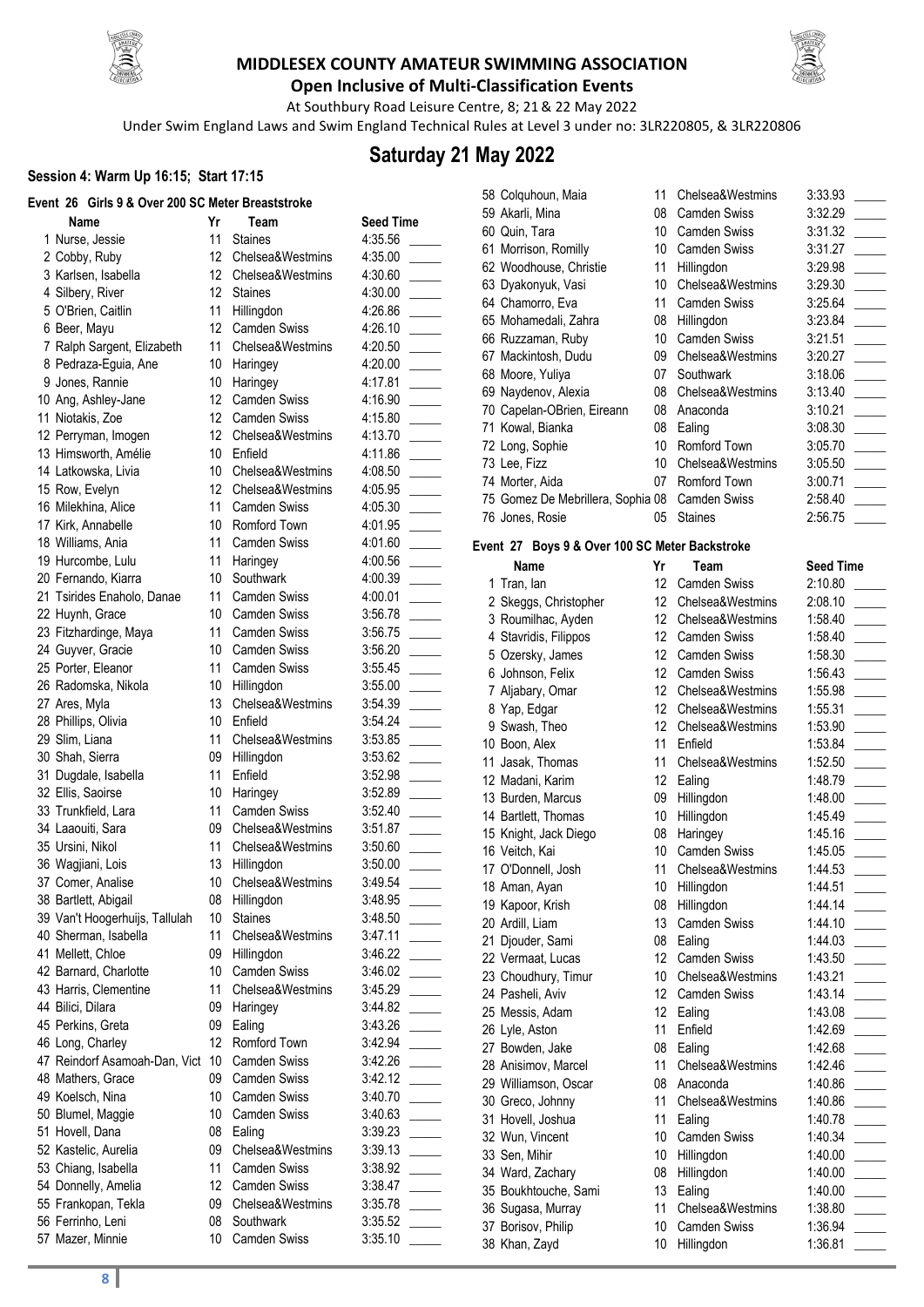



**Open Inclusive of Multi-Classification Events** At Southbury Road Leisure Centre, 8; 21& 22 May 2022

Under Swim England Laws and Swim England Technical Rules at Level 3 under no: 3LR220805, & 3LR220806

## **Saturday 21 May 2022**

### **Session 4: Warm Up 16:15; Start 17:15**

| vent 26 Girls 9 & Over 200 SC Meter Breaststroke: |          |                                      |                    |
|---------------------------------------------------|----------|--------------------------------------|--------------------|
| Name                                              | Yr       | Team                                 | <b>Seed Time</b>   |
| 1 Nurse, Jessie                                   | 11       | <b>Staines</b>                       | 4:35.56            |
| 2 Cobby, Ruby                                     | 12       | Chelsea&Westmins                     | 4:35.00            |
| 3 Karlsen, Isabella                               | 12       | Chelsea&Westmins                     | 4:30.60            |
| 4 Silbery, River                                  | 12       | <b>Staines</b>                       | 4:30.00            |
| 5 O'Brien, Caitlin                                | 11       | Hillingdon                           | 4:26.86            |
| 6 Beer, Mayu                                      | 12       | <b>Camden Swiss</b>                  | 4:26.10            |
| 7 Ralph Sargent, Elizabeth                        | 11       | Chelsea&Westmins                     | 4:20.50            |
| 8 Pedraza-Eguia, Ane                              | 10       | Haringey                             | 4:20.00            |
| 9 Jones, Rannie                                   | 10       | Haringey                             | 4:17.81            |
| 10 Ang, Ashley-Jane                               | 12       | <b>Camden Swiss</b>                  | 4:16.90            |
| 11 Niotakis, Zoe                                  | 12       | <b>Camden Swiss</b>                  | 4:15.80            |
| 12 Perryman, Imogen                               | 12       | Chelsea&Westmins                     | 4:13.70            |
| 13 Himsworth, Amélie                              | 10       | Enfield                              | 4:11.86            |
| 14 Latkowska, Livia                               | 10       | Chelsea&Westmins                     | 4:08.50            |
| 15 Row, Evelyn                                    | 12       | Chelsea&Westmins                     | 4:05.95            |
| 16 Milekhina, Alice                               | 11       | <b>Camden Swiss</b>                  | 4:05.30            |
| 17 Kirk, Annabelle                                | 10       | Romford Town                         | 4:01.95            |
| 18 Williams, Ania                                 | 11       | <b>Camden Swiss</b>                  | 4:01.60            |
| 19 Hurcombe, Lulu                                 | 11       | Haringey                             | 4:00.56            |
| 20 Fernando, Kiarra                               | 10       | Southwark                            | 4:00.39            |
| 21 Tsirides Enaholo, Danae                        | 11       | <b>Camden Swiss</b>                  | 4:00.01            |
| 22 Huynh, Grace                                   | 10       | Camden Swiss                         | 3:56.78            |
| 23 Fitzhardinge, Maya                             | 11       | <b>Camden Swiss</b>                  | 3:56.75            |
| 24 Guyver, Gracie                                 | 10       | Camden Swiss                         | 3:56.20            |
| 25 Porter, Eleanor                                | 11       | Camden Swiss                         | 3:55.45            |
| 26 Radomska, Nikola                               | 10       | Hillingdon                           | 3:55.00            |
| 27 Ares, Myla                                     | 13       | Chelsea&Westmins                     | 3:54.39            |
| 28 Phillips, Olivia                               | 10       | Enfield                              | 3:54.24            |
| 29 Slim, Liana                                    | 11       | Chelsea&Westmins                     | 3:53.85            |
| 30 Shah, Sierra                                   | 09       | Hillingdon                           | 3:53.62            |
| 31 Dugdale, Isabella                              | 11       | Enfield                              | 3:52.98            |
| 32 Ellis, Saoirse                                 | 10       | Haringey                             | 3:52.89            |
| 33 Trunkfield, Lara                               | 11       | <b>Camden Swiss</b>                  | 3:52.40            |
| 34 Laaouiti, Sara                                 | 09<br>11 | Chelsea&Westmins<br>Chelsea&Westmins | 3:51.87            |
| 35 Ursini, Nikol                                  | 13       |                                      | 3:50.60            |
| 36 Wagjiani, Lois<br>37 Comer, Analise            | 10       | Hillingdon<br>Chelsea&Westmins       | 3:50.00<br>3:49.54 |
| 38 Bartlett, Abigail                              | 08       |                                      | 3:48.95            |
| 39 Van't Hoogerhuijs, Tallulah                    | 10       | Hillingdon<br><b>Staines</b>         | 3:48.50            |
| 40 Sherman, Isabella                              | 11       | Chelsea&Westmins                     | 3:47.11            |
| 41 Mellett, Chloe                                 | 09       | Hillingdon                           | 3:46.22            |
| 42 Barnard, Charlotte                             | 10       | <b>Camden Swiss</b>                  | 3:46.02            |
| 43 Harris, Clementine                             | 11       | Chelsea&Westmins                     | 3:45.29            |
| 44 Bilici, Dilara                                 | 09       | Haringey                             | 3:44.82            |
| 45 Perkins, Greta                                 | 09       | Ealing                               | 3:43.26            |
| 46 Long, Charley                                  | 12       | Romford Town                         | 3:42.94            |
| 47 Reindorf Asamoah-Dan, Vict                     | 10       | <b>Camden Swiss</b>                  | 3:42.26            |
| 48 Mathers, Grace                                 | 09       | <b>Camden Swiss</b>                  | 3:42.12            |
| 49 Koelsch, Nina                                  | 10       | <b>Camden Swiss</b>                  | 3:40.70            |
| 50 Blumel, Maggie                                 | 10       | <b>Camden Swiss</b>                  | 3:40.63            |
| 51 Hovell, Dana                                   | 08       | Ealing                               | 3:39.23            |
| 52 Kastelic, Aurelia                              | 09       | Chelsea&Westmins                     | 3:39.13            |
| 53 Chiang, Isabella                               | 11       | <b>Camden Swiss</b>                  | 3:38.92            |
| 54 Donnelly, Amelia                               | 12       | <b>Camden Swiss</b>                  | 3:38.47            |
| 55 Frankopan, Tekla                               | 09       | Chelsea&Westmins                     | 3:35.78            |
| 56 Ferrinho, Leni                                 | 08       | Southwark                            | 3:35.52            |
| 57 Mazer, Minnie                                  | 10       | Camden Swiss                         | 3:35.10            |
|                                                   |          |                                      |                    |

| 11<br>Chelsea&Westmins<br>3:33.93<br>58 Colquhoun, Maia<br>59 Akarli, Mina<br>08<br><b>Camden Swiss</b><br>3:32.29<br>60 Quin, Tara<br>10 <sup>1</sup><br><b>Camden Swiss</b><br>3:31.32<br>61 Morrison, Romilly<br>10 <sup>1</sup><br><b>Camden Swiss</b><br>3:31.27<br>62 Woodhouse, Christie<br>11<br>Hillingdon<br>3:29.98<br>10 <sup>°</sup><br>Chelsea&Westmins<br>63 Dyakonyuk, Vasi<br>3:29.30<br>64 Chamorro, Eva<br>11<br><b>Camden Swiss</b><br>3:25.64<br>65 Mohamedali, Zahra<br>Hillingdon<br>3:23.84<br>08<br>Camden Swiss<br>10<br>66 Ruzzaman, Ruby<br>3:21.51<br>67 Mackintosh, Dudu<br>09<br>Chelsea&Westmins<br>3:20.27<br>07<br>Southwark<br>68 Moore, Yuliya<br>3:18.06<br>69 Naydenov, Alexia<br>08<br>Chelsea&Westmins<br>3:13.40<br>70 Capelan-OBrien, Eireann<br>08<br>Anaconda<br>3:10.21<br>71 Kowal, Bianka<br>3:08.30<br>08<br>Ealing<br>72 Long, Sophie<br>10<br>Romford Town<br>3:05.70<br>73 Lee, Fizz<br>10 <sup>°</sup><br>Chelsea&Westmins<br>3:05.50<br>07<br>Romford Town<br>74 Morter, Aida<br>3:00.71<br>75 Gomez De Mebrillera, Sophia 08<br><b>Camden Swiss</b><br>2:58.40<br>76 Jones, Rosie<br><b>Staines</b><br>2:56.75<br>05<br>Event 27 Boys 9 & Over 100 SC Meter Backstroke<br>Yr<br><b>Seed Time</b><br>Name<br>Team<br>12<br>1 Tran, lan<br>2:10.80<br><b>Camden Swiss</b><br>2 Skeggs, Christopher<br>12<br>Chelsea&Westmins<br>2:08.10<br>3 Roumilhac, Ayden<br>12<br>Chelsea&Westmins<br>1:58.40<br>4 Stavridis, Filippos<br>12 <sup>°</sup><br><b>Camden Swiss</b><br>1:58.40<br>5 Ozersky, James<br>12 <sup>°</sup><br><b>Camden Swiss</b><br>1:58.30<br>6 Johnson, Felix<br>12<br><b>Camden Swiss</b><br>1:56.43<br>12<br>Chelsea&Westmins<br>7 Aljabary, Omar<br>1:55.98<br>12<br>8 Yap, Edgar<br>Chelsea&Westmins<br>1:55.31<br>12 <sup>°</sup><br>9 Swash, Theo<br>Chelsea&Westmins<br>1:53.90<br>11<br>10 Boon, Alex<br>1:53.84<br>Enfield<br>Chelsea&Westmins<br>11 Jasak, Thomas<br>11<br>1:52.50<br>12 Madani, Karim<br>12 <sup>°</sup><br>Ealing<br>1:48.79<br>13 Burden, Marcus<br>09<br>Hillingdon<br>1:48.00<br>14 Bartlett, Thomas<br>10<br>Hillingdon<br>1:45.49<br>15 Knight, Jack Diego<br>Haringey<br>1:45.16<br>08<br>Camden Swiss<br>16 Veitch, Kai<br>10 <sup>°</sup><br>1:45.05<br>11<br>Chelsea&Westmins<br>1:44.53<br>17 O'Donnell, Josh |
|-------------------------------------------------------------------------------------------------------------------------------------------------------------------------------------------------------------------------------------------------------------------------------------------------------------------------------------------------------------------------------------------------------------------------------------------------------------------------------------------------------------------------------------------------------------------------------------------------------------------------------------------------------------------------------------------------------------------------------------------------------------------------------------------------------------------------------------------------------------------------------------------------------------------------------------------------------------------------------------------------------------------------------------------------------------------------------------------------------------------------------------------------------------------------------------------------------------------------------------------------------------------------------------------------------------------------------------------------------------------------------------------------------------------------------------------------------------------------------------------------------------------------------------------------------------------------------------------------------------------------------------------------------------------------------------------------------------------------------------------------------------------------------------------------------------------------------------------------------------------------------------------------------------------------------------------------------------------------------------------------------------------------------------------------------------------------------------------------------------------------------------------------------------------------------------------------------------------------------------------------------------------------------------------------------------------------|
|                                                                                                                                                                                                                                                                                                                                                                                                                                                                                                                                                                                                                                                                                                                                                                                                                                                                                                                                                                                                                                                                                                                                                                                                                                                                                                                                                                                                                                                                                                                                                                                                                                                                                                                                                                                                                                                                                                                                                                                                                                                                                                                                                                                                                                                                                                                         |
|                                                                                                                                                                                                                                                                                                                                                                                                                                                                                                                                                                                                                                                                                                                                                                                                                                                                                                                                                                                                                                                                                                                                                                                                                                                                                                                                                                                                                                                                                                                                                                                                                                                                                                                                                                                                                                                                                                                                                                                                                                                                                                                                                                                                                                                                                                                         |
|                                                                                                                                                                                                                                                                                                                                                                                                                                                                                                                                                                                                                                                                                                                                                                                                                                                                                                                                                                                                                                                                                                                                                                                                                                                                                                                                                                                                                                                                                                                                                                                                                                                                                                                                                                                                                                                                                                                                                                                                                                                                                                                                                                                                                                                                                                                         |
|                                                                                                                                                                                                                                                                                                                                                                                                                                                                                                                                                                                                                                                                                                                                                                                                                                                                                                                                                                                                                                                                                                                                                                                                                                                                                                                                                                                                                                                                                                                                                                                                                                                                                                                                                                                                                                                                                                                                                                                                                                                                                                                                                                                                                                                                                                                         |
|                                                                                                                                                                                                                                                                                                                                                                                                                                                                                                                                                                                                                                                                                                                                                                                                                                                                                                                                                                                                                                                                                                                                                                                                                                                                                                                                                                                                                                                                                                                                                                                                                                                                                                                                                                                                                                                                                                                                                                                                                                                                                                                                                                                                                                                                                                                         |
|                                                                                                                                                                                                                                                                                                                                                                                                                                                                                                                                                                                                                                                                                                                                                                                                                                                                                                                                                                                                                                                                                                                                                                                                                                                                                                                                                                                                                                                                                                                                                                                                                                                                                                                                                                                                                                                                                                                                                                                                                                                                                                                                                                                                                                                                                                                         |
|                                                                                                                                                                                                                                                                                                                                                                                                                                                                                                                                                                                                                                                                                                                                                                                                                                                                                                                                                                                                                                                                                                                                                                                                                                                                                                                                                                                                                                                                                                                                                                                                                                                                                                                                                                                                                                                                                                                                                                                                                                                                                                                                                                                                                                                                                                                         |
|                                                                                                                                                                                                                                                                                                                                                                                                                                                                                                                                                                                                                                                                                                                                                                                                                                                                                                                                                                                                                                                                                                                                                                                                                                                                                                                                                                                                                                                                                                                                                                                                                                                                                                                                                                                                                                                                                                                                                                                                                                                                                                                                                                                                                                                                                                                         |
|                                                                                                                                                                                                                                                                                                                                                                                                                                                                                                                                                                                                                                                                                                                                                                                                                                                                                                                                                                                                                                                                                                                                                                                                                                                                                                                                                                                                                                                                                                                                                                                                                                                                                                                                                                                                                                                                                                                                                                                                                                                                                                                                                                                                                                                                                                                         |
|                                                                                                                                                                                                                                                                                                                                                                                                                                                                                                                                                                                                                                                                                                                                                                                                                                                                                                                                                                                                                                                                                                                                                                                                                                                                                                                                                                                                                                                                                                                                                                                                                                                                                                                                                                                                                                                                                                                                                                                                                                                                                                                                                                                                                                                                                                                         |
|                                                                                                                                                                                                                                                                                                                                                                                                                                                                                                                                                                                                                                                                                                                                                                                                                                                                                                                                                                                                                                                                                                                                                                                                                                                                                                                                                                                                                                                                                                                                                                                                                                                                                                                                                                                                                                                                                                                                                                                                                                                                                                                                                                                                                                                                                                                         |
|                                                                                                                                                                                                                                                                                                                                                                                                                                                                                                                                                                                                                                                                                                                                                                                                                                                                                                                                                                                                                                                                                                                                                                                                                                                                                                                                                                                                                                                                                                                                                                                                                                                                                                                                                                                                                                                                                                                                                                                                                                                                                                                                                                                                                                                                                                                         |
|                                                                                                                                                                                                                                                                                                                                                                                                                                                                                                                                                                                                                                                                                                                                                                                                                                                                                                                                                                                                                                                                                                                                                                                                                                                                                                                                                                                                                                                                                                                                                                                                                                                                                                                                                                                                                                                                                                                                                                                                                                                                                                                                                                                                                                                                                                                         |
|                                                                                                                                                                                                                                                                                                                                                                                                                                                                                                                                                                                                                                                                                                                                                                                                                                                                                                                                                                                                                                                                                                                                                                                                                                                                                                                                                                                                                                                                                                                                                                                                                                                                                                                                                                                                                                                                                                                                                                                                                                                                                                                                                                                                                                                                                                                         |
|                                                                                                                                                                                                                                                                                                                                                                                                                                                                                                                                                                                                                                                                                                                                                                                                                                                                                                                                                                                                                                                                                                                                                                                                                                                                                                                                                                                                                                                                                                                                                                                                                                                                                                                                                                                                                                                                                                                                                                                                                                                                                                                                                                                                                                                                                                                         |
|                                                                                                                                                                                                                                                                                                                                                                                                                                                                                                                                                                                                                                                                                                                                                                                                                                                                                                                                                                                                                                                                                                                                                                                                                                                                                                                                                                                                                                                                                                                                                                                                                                                                                                                                                                                                                                                                                                                                                                                                                                                                                                                                                                                                                                                                                                                         |
|                                                                                                                                                                                                                                                                                                                                                                                                                                                                                                                                                                                                                                                                                                                                                                                                                                                                                                                                                                                                                                                                                                                                                                                                                                                                                                                                                                                                                                                                                                                                                                                                                                                                                                                                                                                                                                                                                                                                                                                                                                                                                                                                                                                                                                                                                                                         |
|                                                                                                                                                                                                                                                                                                                                                                                                                                                                                                                                                                                                                                                                                                                                                                                                                                                                                                                                                                                                                                                                                                                                                                                                                                                                                                                                                                                                                                                                                                                                                                                                                                                                                                                                                                                                                                                                                                                                                                                                                                                                                                                                                                                                                                                                                                                         |
|                                                                                                                                                                                                                                                                                                                                                                                                                                                                                                                                                                                                                                                                                                                                                                                                                                                                                                                                                                                                                                                                                                                                                                                                                                                                                                                                                                                                                                                                                                                                                                                                                                                                                                                                                                                                                                                                                                                                                                                                                                                                                                                                                                                                                                                                                                                         |
|                                                                                                                                                                                                                                                                                                                                                                                                                                                                                                                                                                                                                                                                                                                                                                                                                                                                                                                                                                                                                                                                                                                                                                                                                                                                                                                                                                                                                                                                                                                                                                                                                                                                                                                                                                                                                                                                                                                                                                                                                                                                                                                                                                                                                                                                                                                         |
|                                                                                                                                                                                                                                                                                                                                                                                                                                                                                                                                                                                                                                                                                                                                                                                                                                                                                                                                                                                                                                                                                                                                                                                                                                                                                                                                                                                                                                                                                                                                                                                                                                                                                                                                                                                                                                                                                                                                                                                                                                                                                                                                                                                                                                                                                                                         |
|                                                                                                                                                                                                                                                                                                                                                                                                                                                                                                                                                                                                                                                                                                                                                                                                                                                                                                                                                                                                                                                                                                                                                                                                                                                                                                                                                                                                                                                                                                                                                                                                                                                                                                                                                                                                                                                                                                                                                                                                                                                                                                                                                                                                                                                                                                                         |
|                                                                                                                                                                                                                                                                                                                                                                                                                                                                                                                                                                                                                                                                                                                                                                                                                                                                                                                                                                                                                                                                                                                                                                                                                                                                                                                                                                                                                                                                                                                                                                                                                                                                                                                                                                                                                                                                                                                                                                                                                                                                                                                                                                                                                                                                                                                         |
|                                                                                                                                                                                                                                                                                                                                                                                                                                                                                                                                                                                                                                                                                                                                                                                                                                                                                                                                                                                                                                                                                                                                                                                                                                                                                                                                                                                                                                                                                                                                                                                                                                                                                                                                                                                                                                                                                                                                                                                                                                                                                                                                                                                                                                                                                                                         |
|                                                                                                                                                                                                                                                                                                                                                                                                                                                                                                                                                                                                                                                                                                                                                                                                                                                                                                                                                                                                                                                                                                                                                                                                                                                                                                                                                                                                                                                                                                                                                                                                                                                                                                                                                                                                                                                                                                                                                                                                                                                                                                                                                                                                                                                                                                                         |
|                                                                                                                                                                                                                                                                                                                                                                                                                                                                                                                                                                                                                                                                                                                                                                                                                                                                                                                                                                                                                                                                                                                                                                                                                                                                                                                                                                                                                                                                                                                                                                                                                                                                                                                                                                                                                                                                                                                                                                                                                                                                                                                                                                                                                                                                                                                         |
|                                                                                                                                                                                                                                                                                                                                                                                                                                                                                                                                                                                                                                                                                                                                                                                                                                                                                                                                                                                                                                                                                                                                                                                                                                                                                                                                                                                                                                                                                                                                                                                                                                                                                                                                                                                                                                                                                                                                                                                                                                                                                                                                                                                                                                                                                                                         |
|                                                                                                                                                                                                                                                                                                                                                                                                                                                                                                                                                                                                                                                                                                                                                                                                                                                                                                                                                                                                                                                                                                                                                                                                                                                                                                                                                                                                                                                                                                                                                                                                                                                                                                                                                                                                                                                                                                                                                                                                                                                                                                                                                                                                                                                                                                                         |
|                                                                                                                                                                                                                                                                                                                                                                                                                                                                                                                                                                                                                                                                                                                                                                                                                                                                                                                                                                                                                                                                                                                                                                                                                                                                                                                                                                                                                                                                                                                                                                                                                                                                                                                                                                                                                                                                                                                                                                                                                                                                                                                                                                                                                                                                                                                         |
|                                                                                                                                                                                                                                                                                                                                                                                                                                                                                                                                                                                                                                                                                                                                                                                                                                                                                                                                                                                                                                                                                                                                                                                                                                                                                                                                                                                                                                                                                                                                                                                                                                                                                                                                                                                                                                                                                                                                                                                                                                                                                                                                                                                                                                                                                                                         |
|                                                                                                                                                                                                                                                                                                                                                                                                                                                                                                                                                                                                                                                                                                                                                                                                                                                                                                                                                                                                                                                                                                                                                                                                                                                                                                                                                                                                                                                                                                                                                                                                                                                                                                                                                                                                                                                                                                                                                                                                                                                                                                                                                                                                                                                                                                                         |
|                                                                                                                                                                                                                                                                                                                                                                                                                                                                                                                                                                                                                                                                                                                                                                                                                                                                                                                                                                                                                                                                                                                                                                                                                                                                                                                                                                                                                                                                                                                                                                                                                                                                                                                                                                                                                                                                                                                                                                                                                                                                                                                                                                                                                                                                                                                         |
|                                                                                                                                                                                                                                                                                                                                                                                                                                                                                                                                                                                                                                                                                                                                                                                                                                                                                                                                                                                                                                                                                                                                                                                                                                                                                                                                                                                                                                                                                                                                                                                                                                                                                                                                                                                                                                                                                                                                                                                                                                                                                                                                                                                                                                                                                                                         |
|                                                                                                                                                                                                                                                                                                                                                                                                                                                                                                                                                                                                                                                                                                                                                                                                                                                                                                                                                                                                                                                                                                                                                                                                                                                                                                                                                                                                                                                                                                                                                                                                                                                                                                                                                                                                                                                                                                                                                                                                                                                                                                                                                                                                                                                                                                                         |
|                                                                                                                                                                                                                                                                                                                                                                                                                                                                                                                                                                                                                                                                                                                                                                                                                                                                                                                                                                                                                                                                                                                                                                                                                                                                                                                                                                                                                                                                                                                                                                                                                                                                                                                                                                                                                                                                                                                                                                                                                                                                                                                                                                                                                                                                                                                         |
|                                                                                                                                                                                                                                                                                                                                                                                                                                                                                                                                                                                                                                                                                                                                                                                                                                                                                                                                                                                                                                                                                                                                                                                                                                                                                                                                                                                                                                                                                                                                                                                                                                                                                                                                                                                                                                                                                                                                                                                                                                                                                                                                                                                                                                                                                                                         |
|                                                                                                                                                                                                                                                                                                                                                                                                                                                                                                                                                                                                                                                                                                                                                                                                                                                                                                                                                                                                                                                                                                                                                                                                                                                                                                                                                                                                                                                                                                                                                                                                                                                                                                                                                                                                                                                                                                                                                                                                                                                                                                                                                                                                                                                                                                                         |
|                                                                                                                                                                                                                                                                                                                                                                                                                                                                                                                                                                                                                                                                                                                                                                                                                                                                                                                                                                                                                                                                                                                                                                                                                                                                                                                                                                                                                                                                                                                                                                                                                                                                                                                                                                                                                                                                                                                                                                                                                                                                                                                                                                                                                                                                                                                         |
|                                                                                                                                                                                                                                                                                                                                                                                                                                                                                                                                                                                                                                                                                                                                                                                                                                                                                                                                                                                                                                                                                                                                                                                                                                                                                                                                                                                                                                                                                                                                                                                                                                                                                                                                                                                                                                                                                                                                                                                                                                                                                                                                                                                                                                                                                                                         |
| 18 Aman, Ayan<br>10<br>Hillingdon<br>1:44.51                                                                                                                                                                                                                                                                                                                                                                                                                                                                                                                                                                                                                                                                                                                                                                                                                                                                                                                                                                                                                                                                                                                                                                                                                                                                                                                                                                                                                                                                                                                                                                                                                                                                                                                                                                                                                                                                                                                                                                                                                                                                                                                                                                                                                                                                            |
| 19 Kapoor, Krish<br>08<br>Hillingdon<br>1:44.14                                                                                                                                                                                                                                                                                                                                                                                                                                                                                                                                                                                                                                                                                                                                                                                                                                                                                                                                                                                                                                                                                                                                                                                                                                                                                                                                                                                                                                                                                                                                                                                                                                                                                                                                                                                                                                                                                                                                                                                                                                                                                                                                                                                                                                                                         |
| 13<br>20 Ardill, Liam<br>Camden Swiss<br>1:44.10                                                                                                                                                                                                                                                                                                                                                                                                                                                                                                                                                                                                                                                                                                                                                                                                                                                                                                                                                                                                                                                                                                                                                                                                                                                                                                                                                                                                                                                                                                                                                                                                                                                                                                                                                                                                                                                                                                                                                                                                                                                                                                                                                                                                                                                                        |
| 21 Djouder, Sami<br>08<br>Ealing<br>1:44.03                                                                                                                                                                                                                                                                                                                                                                                                                                                                                                                                                                                                                                                                                                                                                                                                                                                                                                                                                                                                                                                                                                                                                                                                                                                                                                                                                                                                                                                                                                                                                                                                                                                                                                                                                                                                                                                                                                                                                                                                                                                                                                                                                                                                                                                                             |
| 22 Vermaat, Lucas<br>12<br><b>Camden Swiss</b><br>1:43.50                                                                                                                                                                                                                                                                                                                                                                                                                                                                                                                                                                                                                                                                                                                                                                                                                                                                                                                                                                                                                                                                                                                                                                                                                                                                                                                                                                                                                                                                                                                                                                                                                                                                                                                                                                                                                                                                                                                                                                                                                                                                                                                                                                                                                                                               |
| 23 Choudhury, Timur<br>10 <sup>°</sup><br>Chelsea&Westmins<br>1:43.21                                                                                                                                                                                                                                                                                                                                                                                                                                                                                                                                                                                                                                                                                                                                                                                                                                                                                                                                                                                                                                                                                                                                                                                                                                                                                                                                                                                                                                                                                                                                                                                                                                                                                                                                                                                                                                                                                                                                                                                                                                                                                                                                                                                                                                                   |
| 24 Pasheli, Aviv<br>12<br>1:43.14<br><b>Camden Swiss</b>                                                                                                                                                                                                                                                                                                                                                                                                                                                                                                                                                                                                                                                                                                                                                                                                                                                                                                                                                                                                                                                                                                                                                                                                                                                                                                                                                                                                                                                                                                                                                                                                                                                                                                                                                                                                                                                                                                                                                                                                                                                                                                                                                                                                                                                                |
| 12<br>25 Messis, Adam<br>Ealing<br>1:43.08                                                                                                                                                                                                                                                                                                                                                                                                                                                                                                                                                                                                                                                                                                                                                                                                                                                                                                                                                                                                                                                                                                                                                                                                                                                                                                                                                                                                                                                                                                                                                                                                                                                                                                                                                                                                                                                                                                                                                                                                                                                                                                                                                                                                                                                                              |
| 11<br>Enfield<br>1:42.69<br>26 Lyle, Aston                                                                                                                                                                                                                                                                                                                                                                                                                                                                                                                                                                                                                                                                                                                                                                                                                                                                                                                                                                                                                                                                                                                                                                                                                                                                                                                                                                                                                                                                                                                                                                                                                                                                                                                                                                                                                                                                                                                                                                                                                                                                                                                                                                                                                                                                              |
| 27 Bowden, Jake<br>08<br>Ealing<br>1:42.68                                                                                                                                                                                                                                                                                                                                                                                                                                                                                                                                                                                                                                                                                                                                                                                                                                                                                                                                                                                                                                                                                                                                                                                                                                                                                                                                                                                                                                                                                                                                                                                                                                                                                                                                                                                                                                                                                                                                                                                                                                                                                                                                                                                                                                                                              |
| 11<br>28 Anisimov, Marcel<br>Chelsea&Westmins<br>1:42.46                                                                                                                                                                                                                                                                                                                                                                                                                                                                                                                                                                                                                                                                                                                                                                                                                                                                                                                                                                                                                                                                                                                                                                                                                                                                                                                                                                                                                                                                                                                                                                                                                                                                                                                                                                                                                                                                                                                                                                                                                                                                                                                                                                                                                                                                |
| 29 Williamson, Oscar<br>08<br>Anaconda<br>1:40.86                                                                                                                                                                                                                                                                                                                                                                                                                                                                                                                                                                                                                                                                                                                                                                                                                                                                                                                                                                                                                                                                                                                                                                                                                                                                                                                                                                                                                                                                                                                                                                                                                                                                                                                                                                                                                                                                                                                                                                                                                                                                                                                                                                                                                                                                       |
| 30 Greco, Johnny<br>11<br>Chelsea&Westmins<br>1:40.86                                                                                                                                                                                                                                                                                                                                                                                                                                                                                                                                                                                                                                                                                                                                                                                                                                                                                                                                                                                                                                                                                                                                                                                                                                                                                                                                                                                                                                                                                                                                                                                                                                                                                                                                                                                                                                                                                                                                                                                                                                                                                                                                                                                                                                                                   |
| 11<br>31 Hovell, Joshua<br>Ealing<br>1:40.78                                                                                                                                                                                                                                                                                                                                                                                                                                                                                                                                                                                                                                                                                                                                                                                                                                                                                                                                                                                                                                                                                                                                                                                                                                                                                                                                                                                                                                                                                                                                                                                                                                                                                                                                                                                                                                                                                                                                                                                                                                                                                                                                                                                                                                                                            |
|                                                                                                                                                                                                                                                                                                                                                                                                                                                                                                                                                                                                                                                                                                                                                                                                                                                                                                                                                                                                                                                                                                                                                                                                                                                                                                                                                                                                                                                                                                                                                                                                                                                                                                                                                                                                                                                                                                                                                                                                                                                                                                                                                                                                                                                                                                                         |
| 10 <sup>°</sup>                                                                                                                                                                                                                                                                                                                                                                                                                                                                                                                                                                                                                                                                                                                                                                                                                                                                                                                                                                                                                                                                                                                                                                                                                                                                                                                                                                                                                                                                                                                                                                                                                                                                                                                                                                                                                                                                                                                                                                                                                                                                                                                                                                                                                                                                                                         |
| 32 Wun, Vincent<br><b>Camden Swiss</b><br>1:40.34                                                                                                                                                                                                                                                                                                                                                                                                                                                                                                                                                                                                                                                                                                                                                                                                                                                                                                                                                                                                                                                                                                                                                                                                                                                                                                                                                                                                                                                                                                                                                                                                                                                                                                                                                                                                                                                                                                                                                                                                                                                                                                                                                                                                                                                                       |
| 10<br>Hillingdon<br>33 Sen, Mihir<br>1:40.00<br>08                                                                                                                                                                                                                                                                                                                                                                                                                                                                                                                                                                                                                                                                                                                                                                                                                                                                                                                                                                                                                                                                                                                                                                                                                                                                                                                                                                                                                                                                                                                                                                                                                                                                                                                                                                                                                                                                                                                                                                                                                                                                                                                                                                                                                                                                      |
| Hillingdon<br>34 Ward, Zachary<br>1:40.00                                                                                                                                                                                                                                                                                                                                                                                                                                                                                                                                                                                                                                                                                                                                                                                                                                                                                                                                                                                                                                                                                                                                                                                                                                                                                                                                                                                                                                                                                                                                                                                                                                                                                                                                                                                                                                                                                                                                                                                                                                                                                                                                                                                                                                                                               |
| 35 Boukhtouche, Sami<br>13<br>Ealing<br>1:40.00<br>11                                                                                                                                                                                                                                                                                                                                                                                                                                                                                                                                                                                                                                                                                                                                                                                                                                                                                                                                                                                                                                                                                                                                                                                                                                                                                                                                                                                                                                                                                                                                                                                                                                                                                                                                                                                                                                                                                                                                                                                                                                                                                                                                                                                                                                                                   |
| 36 Sugasa, Murray<br>Chelsea&Westmins<br>1:38.80<br>37 Borisov, Philip<br>10 <sup>°</sup><br><b>Camden Swiss</b><br>1:36.94                                                                                                                                                                                                                                                                                                                                                                                                                                                                                                                                                                                                                                                                                                                                                                                                                                                                                                                                                                                                                                                                                                                                                                                                                                                                                                                                                                                                                                                                                                                                                                                                                                                                                                                                                                                                                                                                                                                                                                                                                                                                                                                                                                                             |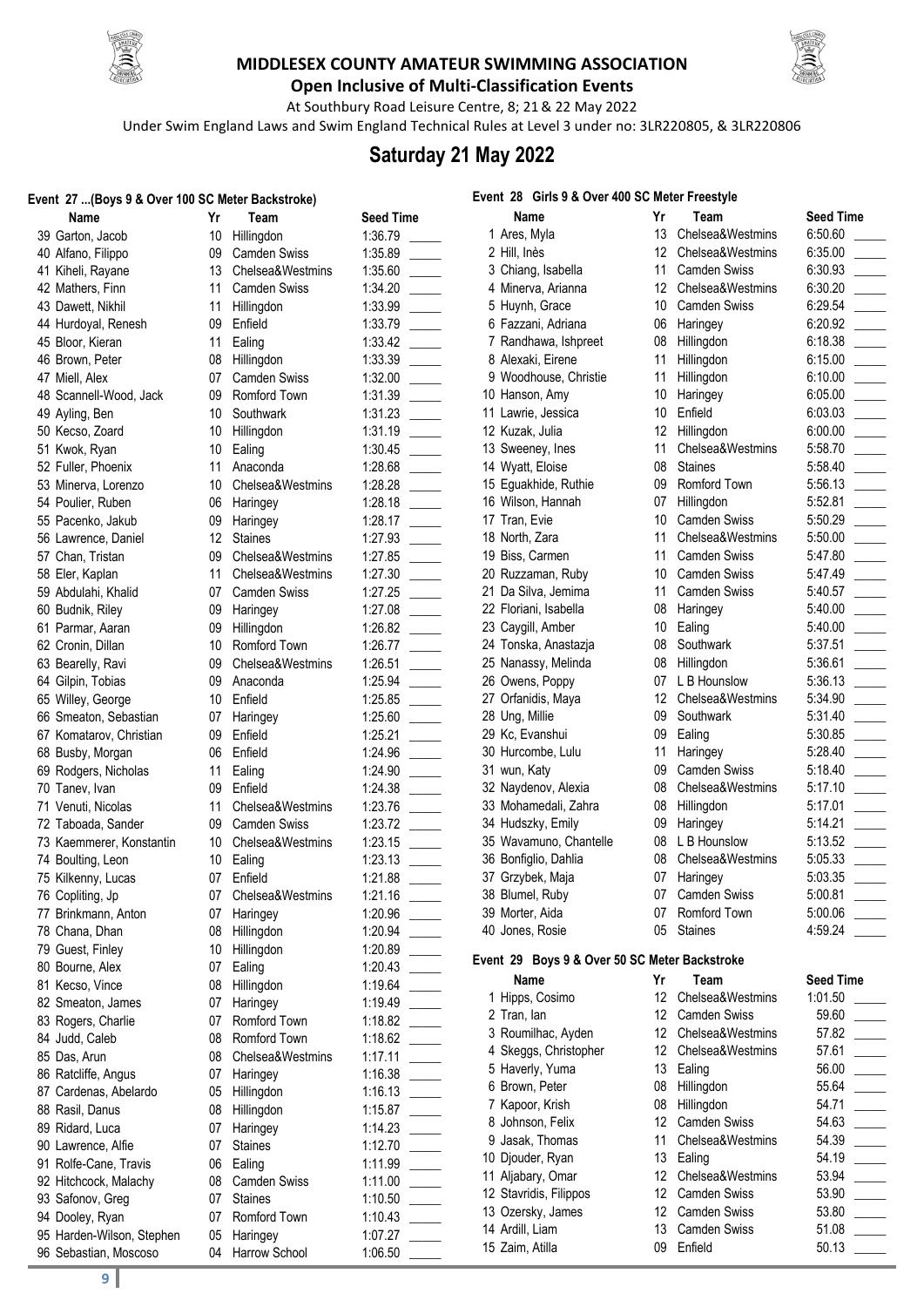



**Open Inclusive of Multi-Classification Events** At Southbury Road Leisure Centre, 8; 21& 22 May 2022

Under Swim England Laws and Swim England Technical Rules at Level 3 under no: 3LR220805, & 3LR220806

## **Saturday 21 May 2022**

#### **Event 27 ...(Boys 9 & Over 100 SC Meter Backstroke)**

| Name                                 | Yr       | Team                 | <b>Seed Time</b>   |
|--------------------------------------|----------|----------------------|--------------------|
| 39 Garton, Jacob                     | 10       | Hillingdon           | 1:36.79            |
| 40 Alfano, Filippo                   | 09       | <b>Camden Swiss</b>  | 1:35.89            |
| 41 Kiheli, Rayane                    | 13       | Chelsea&Westmins     | 1:35.60            |
| 42 Mathers, Finn                     | 11       | <b>Camden Swiss</b>  | 1:34.20            |
| 43 Dawett, Nikhil                    | 11       | Hillingdon           | 1:33.99            |
| 44 Hurdoyal, Renesh                  | 09       | Enfield              | 1:33.79            |
| 45 Bloor, Kieran                     | 11       | Ealing               | 1:33.42            |
| 46 Brown, Peter                      | 08       | Hillingdon           | 1:33.39            |
| 47 Miell, Alex                       | 07       | Camden Swiss         | 1:32.00            |
| 48 Scannell-Wood, Jack               | 09       | Romford Town         | 1:31.39            |
| 49 Ayling, Ben                       | 10       | Southwark            | 1:31.23            |
| 50 Kecso, Zoard                      | 10       | Hillingdon           | 1:31.19            |
| 51 Kwok, Ryan                        | 10       | Ealing               | 1:30.45            |
| 52 Fuller, Phoenix                   | 11       | Anaconda             | 1:28.68            |
| 53 Minerva, Lorenzo                  | 10       | Chelsea&Westmins     | 1:28.28            |
| 54 Poulier, Ruben                    | 06       | Haringey             | 1:28.18            |
| 55 Pacenko, Jakub                    | 09       | Haringey             | 1:28.17            |
| 56 Lawrence, Daniel                  | 12       | <b>Staines</b>       | 1:27.93            |
| 57 Chan, Tristan                     | 09       | Chelsea&Westmins     | 1:27.85            |
| 58 Eler, Kaplan                      | 11       | Chelsea&Westmins     | 1:27.30            |
| 59 Abdulahi, Khalid                  | 07       | <b>Camden Swiss</b>  | 1:27.25            |
| 60 Budnik, Riley                     | 09       | Haringey             | 1:27.08            |
| 61 Parmar, Aaran                     | 09       | Hillingdon           | 1:26.82            |
| 62 Cronin, Dillan                    | 10       | Romford Town         | 1:26.77            |
| 63 Bearelly, Ravi                    | 09       | Chelsea&Westmins     | 1:26.51            |
| 64 Gilpin, Tobias                    | 09       | Anaconda             | 1:25.94            |
| 65 Willey, George                    | 10       | Enfield              | 1:25.85            |
| 66 Smeaton, Sebastian                | 07       | Haringey             | 1:25.60            |
| 67 Komatarov, Christian              | 09       | Enfield              | 1:25.21            |
| 68 Busby, Morgan                     | 06       | Enfield              | 1:24.96            |
| 69 Rodgers, Nicholas                 | 11       | Ealing               | 1:24.90            |
| 70 Tanev, Ivan                       | 09       | Enfield              | 1:24.38            |
| 71 Venuti, Nicolas                   | 11       | Chelsea&Westmins     | 1:23.76            |
| 72 Taboada, Sander                   | 09       | <b>Camden Swiss</b>  | 1:23.72            |
| 73 Kaemmerer, Konstantin             | 10       | Chelsea&Westmins     | 1:23.15            |
| 74 Boulting, Leon                    | 10       | Ealing               | 1:23.13            |
| 75 Kilkenny, Lucas                   | 07       | Enfield              | 1:21.88            |
| 76 Copliting, Jp                     | 07       | Chelsea&Westmins     | 1:21.16            |
| 77 Brinkmann, Anton                  | 07       | Haringey             | 1:20.96            |
| 78 Chana, Dhan                       | 08       | Hillingdon           | 1:20.94            |
| 79 Guest, Finley                     | 10       | Hillingdon           | 1:20.89            |
| 80 Bourne, Alex                      | 07<br>08 | Ealing<br>Hillingdon | 1:20.43            |
| 81 Kecso, Vince<br>82 Smeaton, James | 07       | Haringey             | 1:19.64<br>1:19.49 |
| 83 Rogers, Charlie                   | 07       | Romford Town         | 1:18.82            |
| 84 Judd, Caleb                       | 08       | Romford Town         | 1:18.62            |
| 85 Das, Arun                         | 08       | Chelsea&Westmins     | 1:17.11            |
| 86 Ratcliffe, Angus                  | 07       | Haringey             | 1:16.38            |
| 87 Cardenas, Abelardo                | 05       | Hillingdon           | 1:16.13            |
| 88 Rasil, Danus                      | 08       | Hillingdon           | 1:15.87            |
| 89 Ridard, Luca                      | 07       | Haringey             | 1:14.23            |
| 90 Lawrence, Alfie                   | 07       | <b>Staines</b>       | 1:12.70            |
| 91 Rolfe-Cane, Travis                | 06       | Ealing               | 1:11.99            |
| 92 Hitchcock, Malachy                | 08       | Camden Swiss         | 1:11.00            |
| 93 Safonov, Greg                     | 07       | <b>Staines</b>       | 1:10.50            |
| 94 Dooley, Ryan                      | 07       | Romford Town         | 1:10.43            |
| 95 Harden-Wilson, Stephen            | 05       | Haringey             | 1:07.27            |
| 96 Sebastian, Moscoso                | 04       | Harrow School        | 1:06.50            |
|                                      |          |                      |                    |

|                  |       | Event 28 Girls 9 & Over 400 SC Meter Freestyle |    |                |
|------------------|-------|------------------------------------------------|----|----------------|
| eed Time         |       | Name                                           | Yr | Team           |
| :36.79           |       | 1 Ares, Myla                                   | 13 | Chelsea&W      |
| :35.89           |       | 2 Hill, Inès                                   | 12 | Chelsea&W      |
| :35.60           |       | 3 Chiang, Isabella                             | 11 | Camden Sw      |
| :34.20           |       | 4 Minerva, Arianna                             | 12 | Chelsea&W      |
| :33.99           |       | 5 Huynh, Grace                                 | 10 | Camden Sw      |
| :33.79           |       | 6 Fazzani, Adriana                             | 06 | Haringey       |
| :33.42           |       | 7 Randhawa, Ishpreet                           | 08 | Hillingdon     |
| :33.39           |       | 8 Alexaki, Eirene                              | 11 | Hillingdon     |
| :32.00           |       | 9 Woodhouse, Christie                          | 11 | Hillingdon     |
| :31.39           |       | 10 Hanson, Amy                                 | 10 | Haringey       |
| :31.23           |       | 11 Lawrie, Jessica                             | 10 | Enfield        |
| :31.19           |       | 12 Kuzak, Julia                                | 12 | Hillingdon     |
| :30.45           |       | 13 Sweeney, Ines                               | 11 | Chelsea&W      |
| :28.68           |       | 14 Wyatt, Eloise                               | 08 | <b>Staines</b> |
| :28.28           |       | 15 Eguakhide, Ruthie                           | 09 | Romford To     |
| :28.18           |       | 16 Wilson, Hannah                              | 07 | Hillingdon     |
| :28.17           |       | 17 Tran, Evie                                  | 10 | Camden Sw      |
| :27.93           |       | 18 North, Zara                                 | 11 | Chelsea&W      |
| :27.85           |       | 19 Biss, Carmen                                | 11 | Camden Sw      |
| :27.30           |       | 20 Ruzzaman, Ruby                              | 10 | Camden Sw      |
| :27.25           |       | 21 Da Silva, Jemima                            | 11 | Camden Sw      |
| :27.08           |       | 22 Floriani, Isabella                          | 08 | Haringey       |
| :26.82           |       | 23 Caygill, Amber                              | 10 | Ealing         |
| :26.77           |       | 24 Tonska, Anastazja                           | 08 | Southwark      |
| :26.51           |       | 25 Nanassy, Melinda                            | 08 | Hillingdon     |
| :25.94           |       | 26 Owens, Poppy                                | 07 | L B Hounslo    |
| :25.85           |       | 27 Orfanidis, Maya                             | 12 | Chelsea&W      |
| :25.60           |       | 28 Ung, Millie                                 | 09 | Southwark      |
| :25.21           |       | 29 Kc, Evanshui                                | 09 | Ealing         |
| :24.96           |       | 30 Hurcombe, Lulu                              | 11 | Haringey       |
| :24.90           |       | 31 wun, Katy                                   | 09 | Camden Sw      |
| :24.38           |       | 32 Naydenov, Alexia                            | 08 | Chelsea&W      |
| :23.76           | and a | 33 Mohamedali, Zahra                           | 08 | Hillingdon     |
| :23.72           |       | 34 Hudszky, Emily                              | 09 | Haringey       |
| :23.15           |       | 35 Wavamuno, Chantelle                         | 08 | L B Hounslo    |
| :23.13           |       | 36 Bonfiglio, Dahlia                           | 08 | Chelsea&W      |
| :21.88           |       | 37 Grzybek, Maja                               | 07 | Haringey       |
| :21.16           |       | 38 Blumel, Ruby                                | 07 | Camden Sw      |
| :20.96           |       | 39 Morter, Aida                                | 07 | Romford To     |
| :20.94           |       | 40 Jones, Rosie                                | 05 | <b>Staines</b> |
| :20.89<br>:20.43 |       | Event 29 Boys 9 & Over 50 SC Meter Backstrok   |    |                |
| :19.64           |       | <b>Name</b>                                    | Yr | Team           |
| :19.49           |       | 1 Hipps, Cosimo                                | 12 | Chelsea&W      |
| :18.82           |       | 2 Tran, lan                                    | 12 | Camden Sw      |
| :18.62           |       | 3 Roumilhac, Ayden                             | 12 | Chelsea&W      |
| :17.11           |       | 4 Skeggs, Christopher                          | 12 | Chelsea&W      |
| :16.38           |       | 5 Haverly, Yuma                                | 13 | Ealing         |
| :16.13           |       | 6 Brown, Peter                                 | 08 | Hillingdon     |
| :15.87           |       | 7 Kapoor, Krish                                | 08 | Hillingdon     |
| :14.23           |       | 8 Johnson, Felix                               | 12 | Camden Sw      |
| :12.70           |       | 9 Jasak, Thomas                                | 11 | Chelsea&W      |
| :11.99           |       | 10 Djouder, Ryan                               | 13 | Ealing         |
| :11.00           |       | 11 Aljabary, Omar                              | 12 | Chelsea&W      |
| :10.50           |       | 12 Stavridis, Filippos                         | 12 | Camden Sw      |
| :10.43           |       | 13 Ozersky, James                              | 12 | Camden Sw      |
| :07.27           |       | 14 Ardill, Liam                                | 13 | Camden Sw      |
| .06E             |       | 15 Zaim, Atilla                                | 09 | Enfield        |

| Name                                          | Yr              | Team            |
|-----------------------------------------------|-----------------|-----------------|
| 1 Ares, Myla                                  |                 | 13 Chelsea&We   |
| 2 Hill, Inès                                  |                 | 12 Chelsea&We   |
| 3 Chiang, Isabella                            |                 | 11 Camden Swi   |
| 4 Minerva, Arianna                            |                 | 12 Chelsea&We   |
| 5 Huynh, Grace                                |                 | 10 Camden Swi   |
| 6 Fazzani, Adriana                            |                 | 06 Haringey     |
| 7 Randhawa, Ishpreet                          |                 | 08 Hillingdon   |
| 8 Alexaki, Eirene                             | 11              | Hillingdon      |
| 9 Woodhouse, Christie                         | 11              | Hillingdon      |
| 10 Hanson, Amy                                | 10 <sub>1</sub> | Haringey        |
| 11 Lawrie, Jessica                            | 10 <sup>°</sup> | Enfield         |
| 12 Kuzak, Julia                               |                 | 12 Hillingdon   |
| 13 Sweeney, Ines                              |                 | 11 Chelsea&We   |
| 14 Wyatt, Eloise                              |                 | 08 Staines      |
| 15 Eguakhide, Ruthie                          |                 | 09 Romford Tow  |
| 16 Wilson, Hannah                             |                 | 07 Hillingdon   |
| 17 Tran, Evie                                 | 10              | Camden Swi      |
| 18 North, Zara                                | 11              | Chelsea&We      |
| 19 Biss, Carmen                               | 11              | Camden Swi      |
| 20 Ruzzaman, Ruby                             | 10              | Camden Swi      |
| 21 Da Silva, Jemima                           | 11              | Camden Swi      |
| 22 Floriani, Isabella                         | 08              | Haringey        |
| 23 Caygill, Amber                             |                 | 10 Ealing       |
| 24 Tonska, Anastazja                          |                 | 08 Southwark    |
| 25 Nanassy, Melinda                           |                 | 08 Hillingdon   |
| 26 Owens, Poppy                               |                 | 07 L B Hounslov |
| 27 Orfanidis, Maya                            |                 | 12 Chelsea&We   |
| 28 Ung, Millie                                |                 | 09 Southwark    |
| 29 Kc, Evanshui                               | 09              | Ealing          |
| 30 Hurcombe, Lulu                             | 11              | Haringey        |
| 31 wun, Katy                                  |                 | 09 Camden Swi   |
| 32 Naydenov, Alexia                           | 08              | Chelsea&We      |
| 33 Mohamedali, Zahra                          |                 | 08 Hillingdon   |
| 34 Hudszky, Emily                             | 09              | Haringey        |
| 35 Wavamuno, Chantelle                        |                 | 08 L B Hounslov |
| 36 Bonfiglio, Dahlia                          |                 | 08 Chelsea&We   |
| 37 Grzybek, Maja                              |                 | 07 Haringey     |
| 38 Blumel, Ruby                               |                 | 07 Camden Swi   |
| 39 Morter, Aida                               | 07              | Romford Tov     |
| 40 Jones, Rosie                               | 05              | <b>Staines</b>  |
| Event 29 Boys 9 & Over 50 SC Meter Backstroke |                 |                 |
| Name                                          | Yr              | Team            |
| Hipps, Cosimo<br>1.                           | 12 <sup>1</sup> | Chelsea&We      |
| 2 Tran, lan                                   |                 | 12 Camden Swi   |
| 3 Roumilhac, Ayden                            |                 | 12 Chelsea&We   |
| 4 Skeggs, Christopher                         |                 | 12 Chelsea&We   |
| 5 Haverly, Yuma                               | 13              | Ealing          |
| 6 Brown, Peter                                | 80              | Hillingdon      |
| 7 Kapoor, Krish                               | 08              | Hillingdon      |
| 8 Johnson, Felix                              | 12              | Camden Swi      |

| Name                                         | Yr | Team                | <b>Seed Time</b> |
|----------------------------------------------|----|---------------------|------------------|
| 1 Ares, Myla                                 | 13 | Chelsea&Westmins    | 6:50.60          |
| 2 Hill, Inès                                 | 12 | Chelsea&Westmins    | 6:35.00          |
| 3 Chiang, Isabella                           | 11 | <b>Camden Swiss</b> | 6:30.93          |
| 4 Minerva, Arianna                           | 12 | Chelsea&Westmins    | 6:30.20          |
| 5 Huynh, Grace                               | 10 | Camden Swiss        | 6:29.54          |
| 6 Fazzani, Adriana                           | 06 | Haringey            | 6:20.92          |
| 7 Randhawa, Ishpreet                         | 08 | Hillingdon          | 6:18.38          |
| 8 Alexaki, Eirene                            | 11 | Hillingdon          | 6:15.00          |
| 9 Woodhouse, Christie                        | 11 | Hillingdon          | 6:10.00          |
| 10 Hanson, Amy                               | 10 | Haringey            | 6:05.00          |
| 11 Lawrie, Jessica                           | 10 | Enfield             | 6:03.03          |
| 12 Kuzak, Julia                              | 12 | Hillingdon          | 6:00.00          |
| 13 Sweeney, Ines                             | 11 | Chelsea&Westmins    | 5:58.70          |
| 14 Wyatt, Eloise                             | 08 | <b>Staines</b>      | 5:58.40          |
| 15 Eguakhide, Ruthie                         | 09 | Romford Town        | 5:56.13          |
| 16 Wilson, Hannah                            | 07 | Hillingdon          | 5:52.81          |
| 17 Tran, Evie                                | 10 | <b>Camden Swiss</b> | 5:50.29          |
| 18 North, Zara                               | 11 | Chelsea&Westmins    | 5:50.00          |
| 19 Biss, Carmen                              | 11 | <b>Camden Swiss</b> | 5:47.80          |
| 20 Ruzzaman, Ruby                            | 10 | <b>Camden Swiss</b> | 5:47.49          |
| 21 Da Silva, Jemima                          | 11 | <b>Camden Swiss</b> | 5:40.57          |
| 22 Floriani, Isabella                        | 08 | Haringey            | 5:40.00          |
| 23 Caygill, Amber                            | 10 | Ealing              | 5:40.00          |
| 24 Tonska, Anastazja                         | 08 | Southwark           | 5:37.51          |
| 25 Nanassy, Melinda                          | 08 | Hillingdon          | 5:36.61          |
| 26 Owens, Poppy                              | 07 | L B Hounslow        | 5:36.13          |
| 27 Orfanidis, Maya                           | 12 | Chelsea&Westmins    | 5:34.90          |
| 28 Ung, Millie                               | 09 | Southwark           | 5:31.40          |
| 29 Kc, Evanshui                              | 09 | Ealing              | 5:30.85          |
| 30 Hurcombe, Lulu                            | 11 | Haringey            | 5:28.40          |
| 31 wun, Katy                                 | 09 | <b>Camden Swiss</b> | 5:18.40          |
| 32 Naydenov, Alexia                          | 08 | Chelsea&Westmins    | 5:17.10          |
| 33 Mohamedali, Zahra                         | 08 | Hillingdon          | 5:17.01          |
| 34 Hudszky, Emily                            | 09 | Haringey            | 5:14.21          |
| 35 Wavamuno, Chantelle                       | 08 | L B Hounslow        | 5:13.52          |
| 36 Bonfiglio, Dahlia                         | 08 | Chelsea&Westmins    | 5:05.33          |
| 37 Grzybek, Maja                             | 07 | Haringey            | 5:03.35          |
| 38 Blumel, Ruby                              | 07 | <b>Camden Swiss</b> | 5:00.81          |
| 39 Morter, Aida                              | 07 | Romford Town        | 5:00.06          |
| 40 Jones, Rosie                              | 05 | <b>Staines</b>      | 4:59.24          |
| vent 29 Boys 9 & Over 50 SC Meter Backstroke |    |                     |                  |

**Seed Time** 

|      | Yr                         |
|------|----------------------------|
| Name | Team                       |
| .    | $\sim$<br>$\sim$<br>$\sim$ |

| 1 Hipps, Cosimo        | 12 | Chelsea&Westmins    | 1:01.50 |  |
|------------------------|----|---------------------|---------|--|
| 2 Tran, lan            | 12 | <b>Camden Swiss</b> | 59.60   |  |
| 3 Roumilhac, Ayden     | 12 | Chelsea&Westmins    | 57.82   |  |
| 4 Skeggs, Christopher  | 12 | Chelsea&Westmins    | 57.61   |  |
| 5 Haverly, Yuma        | 13 | Ealing              | 56.00   |  |
| 6 Brown, Peter         | 08 | Hillingdon          | 55.64   |  |
| 7 Kapoor, Krish        | 08 | Hillingdon          | 54.71   |  |
| 8 Johnson, Felix       | 12 | <b>Camden Swiss</b> | 54.63   |  |
| 9 Jasak, Thomas        | 11 | Chelsea&Westmins    | 54.39   |  |
| 10 Djouder, Ryan       | 13 | Ealing              | 54.19   |  |
| 11 Aljabary, Omar      | 12 | Chelsea&Westmins    | 53.94   |  |
| 12 Stavridis, Filippos | 12 | <b>Camden Swiss</b> | 53.90   |  |
| 13 Ozersky, James      | 12 | <b>Camden Swiss</b> | 53.80   |  |
| 14 Ardill, Liam        | 13 | <b>Camden Swiss</b> | 51.08   |  |
| 15 Zaim, Atilla        | 09 | Enfield             | 50.13   |  |
|                        |    |                     |         |  |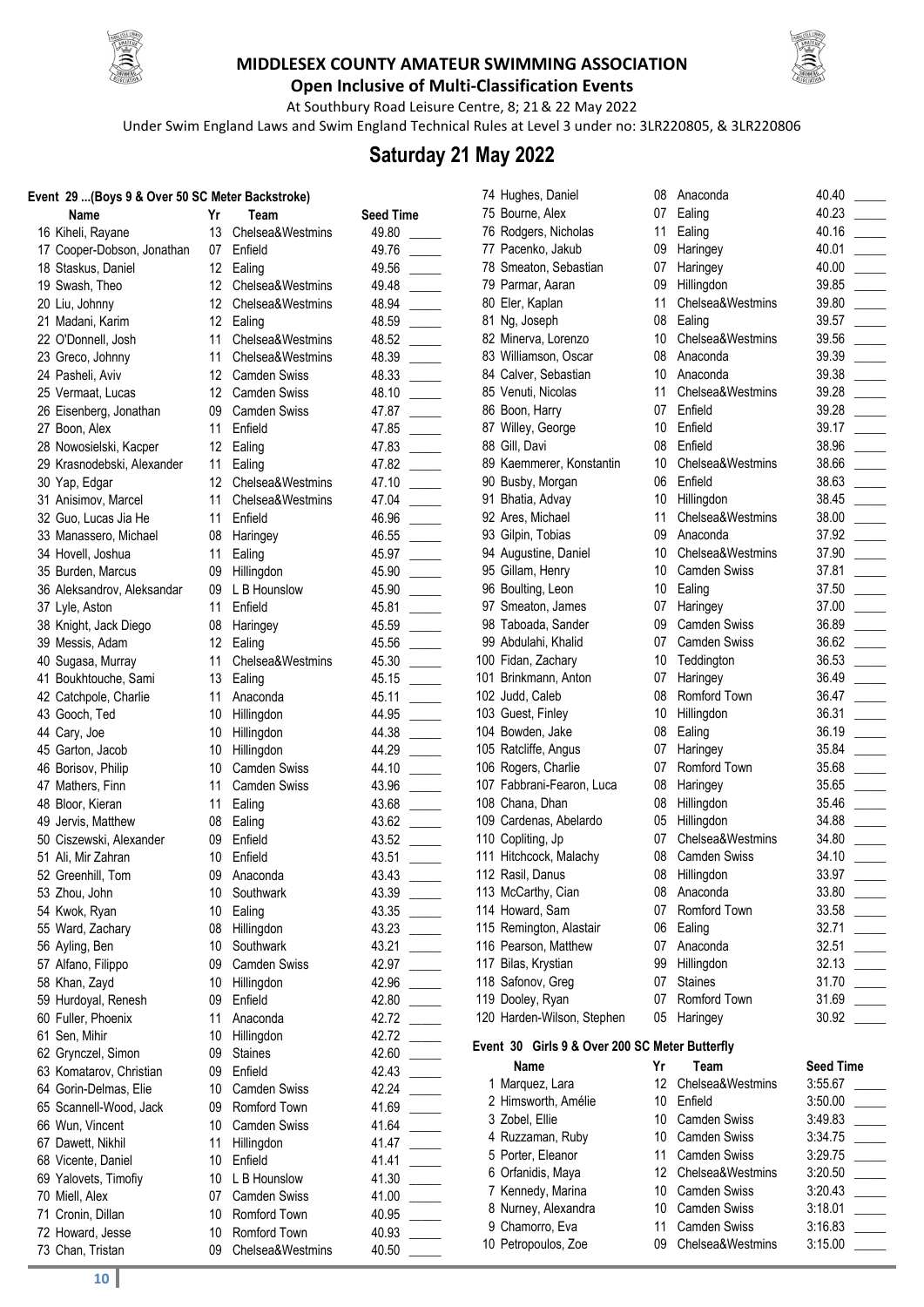



**Open Inclusive of Multi-Classification Events** At Southbury Road Leisure Centre, 8; 21& 22 May 2022

Under Swim England Laws and Swim England Technical Rules at Level 3 under no: 3LR220805, & 3LR220806

# **Saturday 21 May 2022**

#### **EVALUA SC Meter Backstroke)**

| Event  29 (Boys 9 & Over 50 SC meter Backstroke) |                 |                     |                  |  |
|--------------------------------------------------|-----------------|---------------------|------------------|--|
| Name                                             | Yr              | Team                | <b>Seed Time</b> |  |
| 16 Kiheli, Rayane                                | 13              | Chelsea&Westmins    | 49.80            |  |
| 17 Cooper-Dobson, Jonathan                       |                 | 07 Enfield          | 49.76            |  |
| 18 Staskus, Daniel                               | 12              | Ealing              | 49.56            |  |
| 19 Swash, Theo                                   | 12              | Chelsea&Westmins    | 49.48            |  |
| 20 Liu, Johnny                                   | 12              | Chelsea&Westmins    | 48.94            |  |
| 21 Madani, Karim                                 | 12 <sup>2</sup> | Ealing              | 48.59            |  |
| 22 O'Donnell, Josh                               | 11              | Chelsea&Westmins    | 48.52            |  |
| 23 Greco, Johnny                                 | 11              | Chelsea&Westmins    | 48.39            |  |
| 24 Pasheli, Aviv                                 | 12              | <b>Camden Swiss</b> | 48.33            |  |
| 25 Vermaat, Lucas                                | 12 <sup>2</sup> | <b>Camden Swiss</b> | 48.10            |  |
| 26 Eisenberg, Jonathan                           | 09              | <b>Camden Swiss</b> | 47.87            |  |
| 27 Boon, Alex                                    | 11              | Enfield             | 47.85            |  |
| 28 Nowosielski, Kacper                           |                 | 12 Ealing           | 47.83            |  |
| 29 Krasnodebski, Alexander                       | 11              | Ealing              | 47.82            |  |
| 30 Yap, Edgar                                    | 12              | Chelsea&Westmins    | 47.10            |  |
| 31 Anisimov, Marcel                              | 11              | Chelsea&Westmins    | 47.04            |  |
| 32 Guo, Lucas Jia He                             | 11              | Enfield             | 46.96            |  |
| 33 Manassero, Michael                            | 08              | Haringey            | 46.55            |  |
| 34 Hovell, Joshua                                | 11              | Ealing              | 45.97            |  |
| 35 Burden, Marcus                                | 09              | Hillingdon          | 45.90            |  |
| 36 Aleksandrov, Aleksandar                       | 09              | L B Hounslow        | 45.90            |  |
|                                                  | 11              | Enfield             |                  |  |
| 37 Lyle, Aston                                   |                 |                     | 45.81            |  |
| 38 Knight, Jack Diego                            | 08              | Haringey            | 45.59            |  |
| 39 Messis, Adam                                  | 12              | Ealing              | 45.56            |  |
| 40 Sugasa, Murray                                | 11              | Chelsea&Westmins    | 45.30            |  |
| 41 Boukhtouche, Sami                             | 13              | Ealing              | 45.15            |  |
| 42 Catchpole, Charlie                            | 11              | Anaconda            | 45.11            |  |
| 43 Gooch, Ted                                    | 10              | Hillingdon          | 44.95            |  |
| 44 Cary, Joe                                     | 10              | Hillingdon          | 44.38            |  |
| 45 Garton, Jacob                                 | 10              | Hillingdon          | 44.29            |  |
| 46 Borisov, Philip                               | 10              | <b>Camden Swiss</b> | 44.10            |  |
| 47 Mathers, Finn                                 | 11              | <b>Camden Swiss</b> | 43.96            |  |
| 48 Bloor, Kieran                                 | 11              | Ealing              | 43.68            |  |
| 49 Jervis, Matthew                               | 08              | Ealing              | 43.62            |  |
| 50 Ciszewski, Alexander                          | 09              | Enfield             | 43.52            |  |
| 51 Ali, Mir Zahran                               | 10              | Enfield             | 43.51            |  |
| 52 Greenhill, Tom                                | 09              | Anaconda            | 43.43            |  |
| 53 Zhou, John                                    |                 | 10 Southwark        | 43.39            |  |
| 54 Kwok, Ryan                                    | 10              | Ealing              | 43.35            |  |
| 55 Ward, Zachary                                 | 08              | Hillingdon          | 43.23            |  |
| 56 Ayling, Ben                                   | 10              | Southwark           | 43.21            |  |
| 57 Alfano, Filippo                               | 09              | <b>Camden Swiss</b> | 42.97            |  |
| 58 Khan, Zayd                                    | 10              | Hillingdon          | 42.96            |  |
| 59 Hurdoyal, Renesh                              | 09              | Enfield             | 42.80            |  |
| 60 Fuller, Phoenix                               | 11              | Anaconda            | 42.72            |  |
| 61 Sen, Mihir                                    | 10              | Hillingdon          | 42.72            |  |
| 62 Grynczel, Simon                               | 09              | <b>Staines</b>      | 42.60            |  |
| 63 Komatarov, Christian                          | 09              | Enfield             | 42.43            |  |
| 64 Gorin-Delmas, Elie                            | 10              | Camden Swiss        | 42.24            |  |
| 65 Scannell-Wood, Jack                           | 09              | Romford Town        | 41.69            |  |
| 66 Wun, Vincent                                  | 10              | <b>Camden Swiss</b> | 41.64            |  |
| 67 Dawett, Nikhil                                | 11              | Hillingdon          | 41.47            |  |
| 68 Vicente, Daniel                               | 10              | Enfield             | 41.41            |  |
| 69 Yalovets, Timofiy                             | 10              | L B Hounslow        | 41.30            |  |
| 70 Miell, Alex                                   | 07              | Camden Swiss        | 41.00            |  |
| 71 Cronin, Dillan                                | 10              | Romford Town        | 40.95            |  |
| 72 Howard, Jesse                                 | 10              | Romford Town        | 40.93            |  |
| 73 Chan, Tristan                                 | 09              | Chelsea&Westmins    | 40.50            |  |
|                                                  |                 |                     |                  |  |

| ı eam               |  |
|---------------------|--|
| Chelsea&Westmins    |  |
| Enfield             |  |
| Ealing              |  |
| Chelsea&Westmins    |  |
|                     |  |
| Chelsea&Westmins    |  |
| Ealing              |  |
| Chelsea&Westmins    |  |
| Chelsea&Westmins    |  |
| <b>Camden Swiss</b> |  |
| <b>Camden Swiss</b> |  |
|                     |  |
| <b>Camden Swiss</b> |  |
| Enfield             |  |
| Ealing              |  |
| Ealing              |  |
| Chelsea&Westmins    |  |
| Chelsea&Westmins    |  |
| Enfield             |  |
| Haringey            |  |
| Ealing              |  |
|                     |  |
| Hillingdon          |  |
| L B Hounslow        |  |
| Enfield             |  |
| Haringey            |  |
| Ealing              |  |
| Chelsea&Westmins    |  |
| Ealing              |  |
| Anaconda            |  |
| Hillingdon          |  |
|                     |  |
| Hillingdon          |  |
| Hillingdon          |  |
| <b>Camden Swiss</b> |  |
| <b>Camden Swiss</b> |  |
| Ealing              |  |
| Ealing              |  |
| Enfield             |  |
| Enfield             |  |
|                     |  |
| Anaconda            |  |
| Southwark           |  |
| Ealing              |  |
| Hillingdon          |  |
| Southwark           |  |
| <b>Camden Swiss</b> |  |
| Hillingdon          |  |
| Enfield             |  |
| Anaconda            |  |
|                     |  |
| Hillingdon          |  |
| <b>Staines</b>      |  |
| Enfield             |  |
| Camden Swiss        |  |
| Romford Town        |  |
| <b>Camden Swiss</b> |  |
| Hillingdon          |  |
| Enfield             |  |
| L B Hounslow        |  |
| <b>Camden Swiss</b> |  |
|                     |  |
| Romford Town        |  |
| <b>Romford Town</b> |  |
| Chelsea&Westmins    |  |

|                                     | 74 Hughes, Daniel                              | 08              | Anaconda            | 40.40   |
|-------------------------------------|------------------------------------------------|-----------------|---------------------|---------|
| ed Time                             | 75 Bourne, Alex                                | 07              | Ealing              | 40.23   |
| 9.80                                | 76 Rodgers, Nicholas                           | 11              | Ealing              | 40.16   |
| 9.76                                | 77 Pacenko, Jakub                              | 09              | Haringey            | 40.01   |
| 9.56                                | 78 Smeaton, Sebastian                          | 07              | Haringey            | 40.00   |
| 9.48                                | 79 Parmar, Aaran                               | 09              | Hillingdon          | 39.85   |
| 8.94                                | 80 Eler, Kaplan                                | 11              | Chelsea&Westmins    | 39.80   |
| 8.59                                | 81 Ng, Joseph                                  | 08              | Ealing              | 39.57   |
| $\mathbb{R}$<br>8.52                | 82 Minerva, Lorenzo                            | 10 <sup>°</sup> | Chelsea&Westmins    | 39.56   |
| 8.39                                | 83 Williamson, Oscar                           | 08              | Anaconda            | 39.39   |
| 8.33                                | 84 Calver, Sebastian                           | 10 <sup>°</sup> | Anaconda            | 39.38   |
| 8.10                                | 85 Venuti, Nicolas                             | 11              | Chelsea&Westmins    | 39.28   |
| 7.87                                | 86 Boon, Harry                                 | 07              | Enfield             | 39.28   |
| 7.85                                | 87 Willey, George                              | 10 <sup>1</sup> | Enfield             | 39.17   |
| 7.83                                | 88 Gill, Davi                                  | 08              | Enfield             | 38.96   |
| 7.82                                | 89 Kaemmerer, Konstantin                       | 10              | Chelsea&Westmins    | 38.66   |
| 7.10                                | 90 Busby, Morgan                               | 06              | Enfield             | 38.63   |
| 7.04                                | 91 Bhatia, Advay                               | 10              | Hillingdon          | 38.45   |
| 6.96                                | 92 Ares, Michael                               | 11              | Chelsea&Westmins    | 38.00   |
| 6.55                                | 93 Gilpin, Tobias                              | 09              | Anaconda            | 37.92   |
| 5.97                                | 94 Augustine, Daniel                           | 10              | Chelsea&Westmins    | 37.90   |
| 5.90                                | 95 Gillam, Henry                               | 10 <sup>1</sup> | <b>Camden Swiss</b> | 37.81   |
| 5.90                                | 96 Boulting, Leon                              | 10              | Ealing              | 37.50   |
| 5.81                                | 97 Smeaton, James                              | 07              | Haringey            | 37.00   |
| 5.59                                | 98 Taboada, Sander                             | 09              | <b>Camden Swiss</b> | 36.89   |
| 5.56                                | 99 Abdulahi, Khalid                            | 07              | <b>Camden Swiss</b> | 36.62   |
| 5.30                                | 100 Fidan, Zachary                             | 10              | Teddington          | 36.53   |
| 5.15                                | 101 Brinkmann, Anton                           | 07              | Haringey            | 36.49   |
| 5.11                                | 102 Judd, Caleb                                | 08              | Romford Town        | 36.47   |
| 4.95                                | 103 Guest, Finley                              | 10              | Hillingdon          | 36.31   |
| 4.38                                | 104 Bowden, Jake                               | 08              | Ealing              | 36.19   |
| 4.29                                | 105 Ratcliffe, Angus                           | 07              | Haringey            | 35.84   |
| 4.10<br>$\mathcal{L}^{\mathcal{L}}$ | 106 Rogers, Charlie                            | 07              | Romford Town        | 35.68   |
| 3.96                                | 107 Fabbrani-Fearon, Luca                      | 08              | Haringey            | 35.65   |
| 3.68                                | 108 Chana, Dhan                                | 08              | Hillingdon          | 35.46   |
| 3.62                                | 109 Cardenas, Abelardo                         | 05              | Hillingdon          | 34.88   |
| 3.52                                | 110 Copliting, Jp                              | 07              | Chelsea&Westmins    | 34.80   |
| 3.51                                | 111 Hitchcock, Malachy                         | 08              | <b>Camden Swiss</b> | 34.10   |
| 3.43                                | 112 Rasil, Danus                               | 08              | Hillingdon          | 33.97   |
| 3.39                                | 113 McCarthy, Cian                             | 08              | Anaconda            | 33.80   |
| 3.35                                | 114 Howard, Sam                                | 07              | Romford Town        | 33.58   |
| 3.23                                | 115 Remington, Alastair                        | 06              | Ealing              | 32.71   |
| 3.21                                | 116 Pearson, Matthew                           | 07              | Anaconda            | 32.51   |
| 2.97                                | 117 Bilas, Krystian                            | 99              | Hillingdon          | 32.13   |
| 2.96                                | 118 Safonov, Greg                              | 07              | <b>Staines</b>      | 31.70   |
| 2.80                                | 119 Dooley, Ryan                               | 07              | Romford Town        | 31.69   |
| 2.72                                | 120 Harden-Wilson, Stephen                     | 05              | Haringey            | 30.92   |
| 2.72                                |                                                |                 |                     |         |
| 2.60                                | Event 30 Girls 9 & Over 200 SC Meter Butterfly |                 |                     |         |
| 2.43                                | Name                                           | Yr              | Team                | Seed Ti |
| 2.24                                | 1 Marquez, Lara                                | 12              | Chelsea&Westmins    | 3:55.67 |
| 1.69                                | 2 Himsworth, Amélie                            | 10              | Enfield             | 3:50.00 |
| 1.64                                | 3 Zobel, Ellie                                 | 10              | <b>Camden Swiss</b> | 3:49.83 |
| 1.47                                | 4 Ruzzaman, Ruby                               | 10              | Camden Swiss        | 3:34.75 |
| 1.41                                | 5 Porter, Eleanor                              | 11              | <b>Camden Swiss</b> | 3:29.75 |
| 1.30                                | 6 Orfanidis, Maya                              | 12              | Chelsea&Westmins    | 3:20.50 |
| 1.00                                | 7 Kennedy, Marina                              | 10              | <b>Camden Swiss</b> | 3:20.43 |
| 0.95                                | 8 Nurney, Alexandra                            | 10              | <b>Camden Swiss</b> | 3:18.01 |
| 0.93                                | 9 Chamorro, Eva                                | 11              | <b>Camden Swiss</b> | 3:16.83 |
| 0.50                                | 10 Petropoulos, Zoe                            | 09              | Chelsea&Westmins    | 3:15.00 |
|                                     |                                                |                 |                     |         |

| 75 Bourne, Alex                               | 07 | Ealing              | 40.23            |  |  |  |  |  |
|-----------------------------------------------|----|---------------------|------------------|--|--|--|--|--|
| 76 Rodgers, Nicholas                          | 11 | Ealing              | 40.16            |  |  |  |  |  |
| 77 Pacenko, Jakub                             | 09 | Haringey            | 40.01            |  |  |  |  |  |
| 78 Smeaton, Sebastian                         | 07 | Haringey            | 40.00            |  |  |  |  |  |
| 79 Parmar, Aaran                              | 09 | Hillingdon          | 39.85            |  |  |  |  |  |
| 80 Eler, Kaplan                               | 11 | Chelsea&Westmins    | 39.80            |  |  |  |  |  |
| 81 Ng, Joseph                                 | 08 | Ealing              | 39.57            |  |  |  |  |  |
| 82 Minerva, Lorenzo                           | 10 | Chelsea&Westmins    | 39.56            |  |  |  |  |  |
| 83 Williamson, Oscar                          | 08 | Anaconda            | 39.39            |  |  |  |  |  |
| 84 Calver, Sebastian                          | 10 | Anaconda            | 39.38            |  |  |  |  |  |
| 85 Venuti, Nicolas                            | 11 | Chelsea&Westmins    | 39.28            |  |  |  |  |  |
| 86 Boon, Harry                                | 07 | Enfield             | 39.28            |  |  |  |  |  |
| 87 Willey, George                             | 10 | Enfield             | 39.17            |  |  |  |  |  |
| 88 Gill, Davi                                 | 08 | Enfield             | 38.96            |  |  |  |  |  |
| 89 Kaemmerer, Konstantin                      | 10 | Chelsea&Westmins    | 38.66            |  |  |  |  |  |
| 90 Busby, Morgan                              | 06 | Enfield             | 38.63            |  |  |  |  |  |
| 91 Bhatia, Advay                              | 10 | Hillingdon          | 38.45            |  |  |  |  |  |
| 92 Ares, Michael                              | 11 | Chelsea&Westmins    | 38.00            |  |  |  |  |  |
| 93 Gilpin, Tobias                             | 09 | Anaconda            | 37.92            |  |  |  |  |  |
| 94 Augustine, Daniel                          | 10 | Chelsea&Westmins    | 37.90            |  |  |  |  |  |
| 95 Gillam, Henry                              | 10 | <b>Camden Swiss</b> | 37.81            |  |  |  |  |  |
| 96 Boulting, Leon                             | 10 | Ealing              | 37.50            |  |  |  |  |  |
| 97 Smeaton, James                             | 07 | Haringey            | 37.00            |  |  |  |  |  |
| 98 Taboada, Sander                            | 09 | Camden Swiss        | 36.89            |  |  |  |  |  |
| 99 Abdulahi, Khalid                           | 07 | <b>Camden Swiss</b> | 36.62            |  |  |  |  |  |
| 00 Fidan, Zachary                             | 10 | Teddington          | 36.53            |  |  |  |  |  |
| 01 Brinkmann, Anton                           | 07 | Haringey            | 36.49            |  |  |  |  |  |
| 02 Judd, Caleb                                | 08 | Romford Town        | 36.47            |  |  |  |  |  |
| 03 Guest, Finley                              | 10 | Hillingdon          | 36.31            |  |  |  |  |  |
| 04 Bowden, Jake                               | 08 | Ealing              | 36.19            |  |  |  |  |  |
| 05 Ratcliffe, Angus                           | 07 | Haringey            | 35.84            |  |  |  |  |  |
| 06 Rogers, Charlie                            | 07 | Romford Town        | 35.68            |  |  |  |  |  |
| 07 Fabbrani-Fearon, Luca                      | 08 | Haringey            | 35.65            |  |  |  |  |  |
| 08 Chana, Dhan                                | 08 | Hillingdon          | 35.46            |  |  |  |  |  |
| 09 Cardenas, Abelardo                         | 05 | Hillingdon          | 34.88            |  |  |  |  |  |
| 10 Copliting, Jp                              | 07 | Chelsea&Westmins    | 34.80            |  |  |  |  |  |
| 11 Hitchcock, Malachy                         | 08 | <b>Camden Swiss</b> | 34.10            |  |  |  |  |  |
| 12 Rasil, Danus                               | 08 | Hillingdon          | 33.97            |  |  |  |  |  |
| 13 McCarthy, Cian                             | 08 | Anaconda            | 33.80            |  |  |  |  |  |
| 14 Howard, Sam                                | 07 | Romford Town        | 33.58            |  |  |  |  |  |
| 15 Remington, Alastair                        | 06 | Ealing              | 32.71            |  |  |  |  |  |
| 16 Pearson, Matthew                           | 07 | Anaconda            | 32.51            |  |  |  |  |  |
| 17 Bilas, Krystian                            | 99 | Hillingdon          | 32.13            |  |  |  |  |  |
| 18 Safonov, Greg                              | 07 | <b>Staines</b>      | 31.70            |  |  |  |  |  |
| 19 Dooley, Ryan                               | 07 | Romford Town        | 31.69            |  |  |  |  |  |
| 20 Harden-Wilson, Stephen                     | 05 | Haringey            | 30.92            |  |  |  |  |  |
| vent 30 Girls 9 & Over 200 SC Meter Butterfly |    |                     |                  |  |  |  |  |  |
| Name                                          | Yr | Team                | <b>Seed Time</b> |  |  |  |  |  |
| 1 Marquez, Lara                               | 12 | Chelsea&Westmins    | 3:55.67          |  |  |  |  |  |
| 2 Himsworth, Amélie                           | 10 | Enfield             | 3:50.00          |  |  |  |  |  |
| 3 Zobel, Ellie                                | 10 | <b>Camden Swiss</b> | 3:49.83          |  |  |  |  |  |
| 4 Ruzzaman, Ruby                              |    | 10 Camden Swiss     | 3:34.75          |  |  |  |  |  |